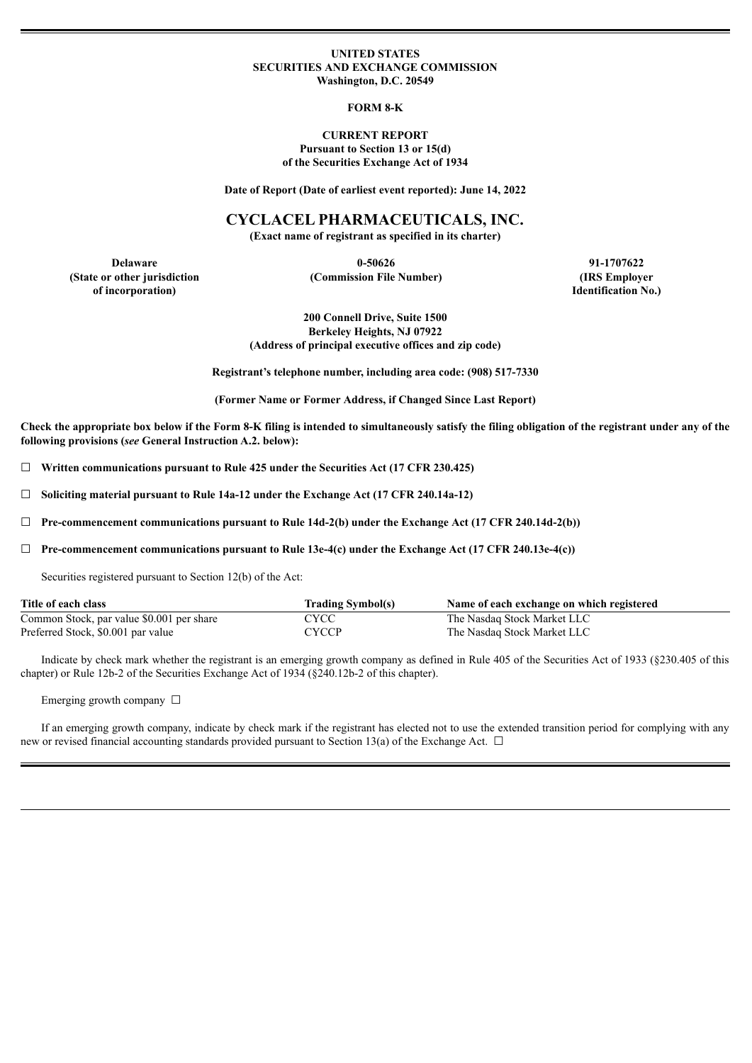#### **UNITED STATES SECURITIES AND EXCHANGE COMMISSION Washington, D.C. 20549**

#### **FORM 8-K**

#### **CURRENT REPORT Pursuant to Section 13 or 15(d) of the Securities Exchange Act of 1934**

**Date of Report (Date of earliest event reported): June 14, 2022**

### **CYCLACEL PHARMACEUTICALS, INC.**

**(Exact name of registrant as specified in its charter)**

**(State or other jurisdiction of incorporation)**

**(Commission File Number) (IRS Employer**

**Delaware 0-50626 91-1707622 Identification No.)**

> **200 Connell Drive, Suite 1500 Berkeley Heights, NJ 07922 (Address of principal executive offices and zip code)**

**Registrant's telephone number, including area code: (908) 517-7330**

**(Former Name or Former Address, if Changed Since Last Report)**

Check the appropriate box below if the Form 8-K filing is intended to simultaneously satisfy the filing obligation of the registrant under any of the **following provisions (***see* **General Instruction A.2. below):**

☐ **Written communications pursuant to Rule 425 under the Securities Act (17 CFR 230.425)**

☐ **Soliciting material pursuant to Rule 14a-12 under the Exchange Act (17 CFR 240.14a-12)**

☐ **Pre-commencement communications pursuant to Rule 14d-2(b) under the Exchange Act (17 CFR 240.14d-2(b))**

☐ **Pre-commencement communications pursuant to Rule 13e-4(c) under the Exchange Act (17 CFR 240.13e-4(c))**

Securities registered pursuant to Section 12(b) of the Act:

| Title of each class                       | <b>Trading Symbol(s)</b> | Name of each exchange on which registered |
|-------------------------------------------|--------------------------|-------------------------------------------|
| Common Stock, par value \$0.001 per share | CYCC                     | The Nasdaq Stock Market LLC               |
| Preferred Stock, \$0.001 par value        | <b>CYCCP</b>             | The Nasdaq Stock Market LLC               |

Indicate by check mark whether the registrant is an emerging growth company as defined in Rule 405 of the Securities Act of 1933 (§230.405 of this chapter) or Rule 12b-2 of the Securities Exchange Act of 1934 (§240.12b-2 of this chapter).

Emerging growth company  $\Box$ 

If an emerging growth company, indicate by check mark if the registrant has elected not to use the extended transition period for complying with any new or revised financial accounting standards provided pursuant to Section 13(a) of the Exchange Act.  $\Box$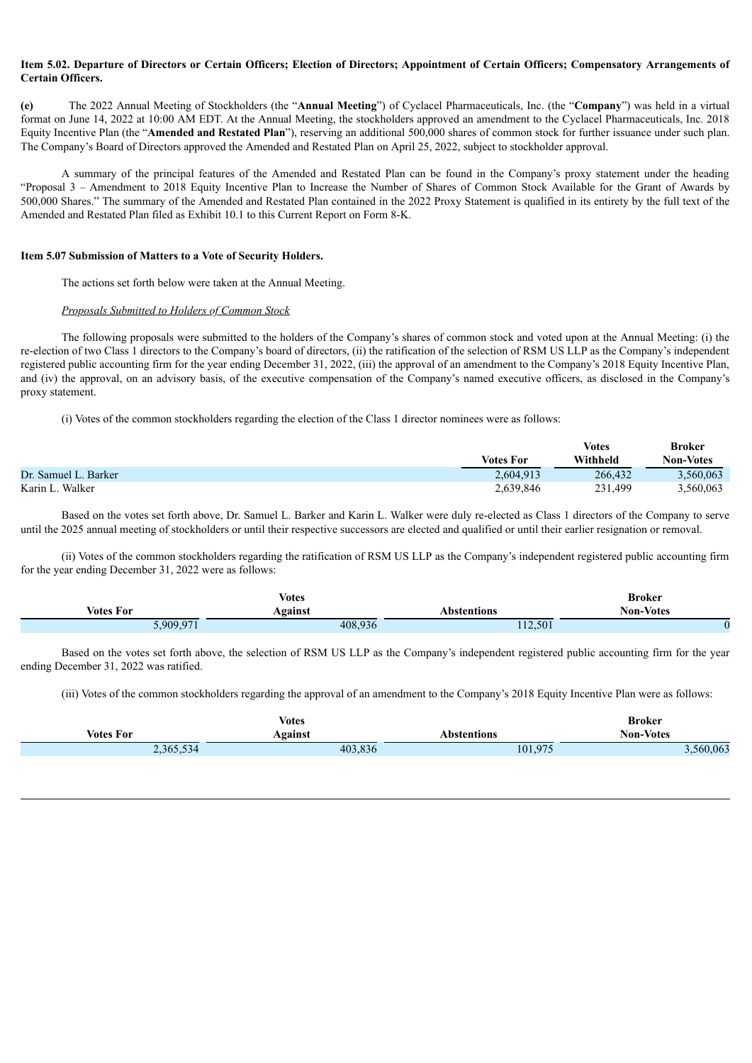### Item 5.02. Departure of Directors or Certain Officers: Election of Directors: Appointment of Certain Officers: Compensatory Arrangements of **Certain Officers.**

**(e)** The 2022 Annual Meeting of Stockholders (the "**Annual Meeting**") of Cyclacel Pharmaceuticals, Inc. (the "**Company**") was held in a virtual format on June 14, 2022 at 10:00 AM EDT. At the Annual Meeting, the stockholders approved an amendment to the Cyclacel Pharmaceuticals, Inc. 2018 Equity Incentive Plan (the "**Amended and Restated Plan**"), reserving an additional 500,000 shares of common stock for further issuance under such plan. The Company's Board of Directors approved the Amended and Restated Plan on April 25, 2022, subject to stockholder approval.

A summary of the principal features of the Amended and Restated Plan can be found in the Company's proxy statement under the heading "Proposal 3 – Amendment to 2018 Equity Incentive Plan to Increase the Number of Shares of Common Stock Available for the Grant of Awards by 500,000 Shares." The summary of the Amended and Restated Plan contained in the 2022 Proxy Statement is qualified in its entirety by the full text of the Amended and Restated Plan filed as Exhibit 10.1 to this Current Report on Form 8-K.

#### **Item 5.07 Submission of Matters to a Vote of Security Holders.**

The actions set forth below were taken at the Annual Meeting.

### *Proposals Submitted to Holders of Common Stock*

The following proposals were submitted to the holders of the Company's shares of common stock and voted upon at the Annual Meeting: (i) the re-election of two Class 1 directors to the Company's board of directors, (ii) the ratification of the selection of RSM US LLP as the Company's independent registered public accounting firm for the year ending December 31, 2022, (iii) the approval of an amendment to the Company's 2018 Equity Incentive Plan, and (iv) the approval, on an advisory basis, of the executive compensation of the Company's named executive officers, as disclosed in the Company's proxy statement.

(i) Votes of the common stockholders regarding the election of the Class 1 director nominees were as follows:

|                      |                  | <b>Votes</b> | <b>Broker</b>    |
|----------------------|------------------|--------------|------------------|
|                      | <b>Votes For</b> | Withheld     | <b>Non-Votes</b> |
| Dr. Samuel L. Barker | 2,604,913        | 266.432      | 3,560,063        |
| Karin L. Walker      | 2,639,846        | 231,499      | 3,560,063        |

Based on the votes set forth above, Dr. Samuel L. Barker and Karin L. Walker were duly re-elected as Class 1 directors of the Company to serve until the 2025 annual meeting of stockholders or until their respective successors are elected and qualified or until their earlier resignation or removal.

(ii) Votes of the common stockholders regarding the ratification of RSM US LLP as the Company's independent registered public accounting firm for the year ending December 31, 2022 were as follows:

| <b>Votes</b>     |         |             | <b>Broker</b>    |
|------------------|---------|-------------|------------------|
| <b>Votes For</b> | Against | Abstentions | <b>Non-Votes</b> |
| 5,909,971        | 408,936 | 112,501     |                  |

Based on the votes set forth above, the selection of RSM US LLP as the Company's independent registered public accounting firm for the year ending December 31, 2022 was ratified.

(iii) Votes of the common stockholders regarding the approval of an amendment to the Company's 2018 Equity Incentive Plan were as follows:

|                  | <b>Votes</b> |             | Broker           |
|------------------|--------------|-------------|------------------|
| <b>Votes For</b> | Against      | Abstentions | <b>Non-Votes</b> |
| 2,365,534        | 403,836      | 101,975     | 3,560,063        |
|                  |              |             |                  |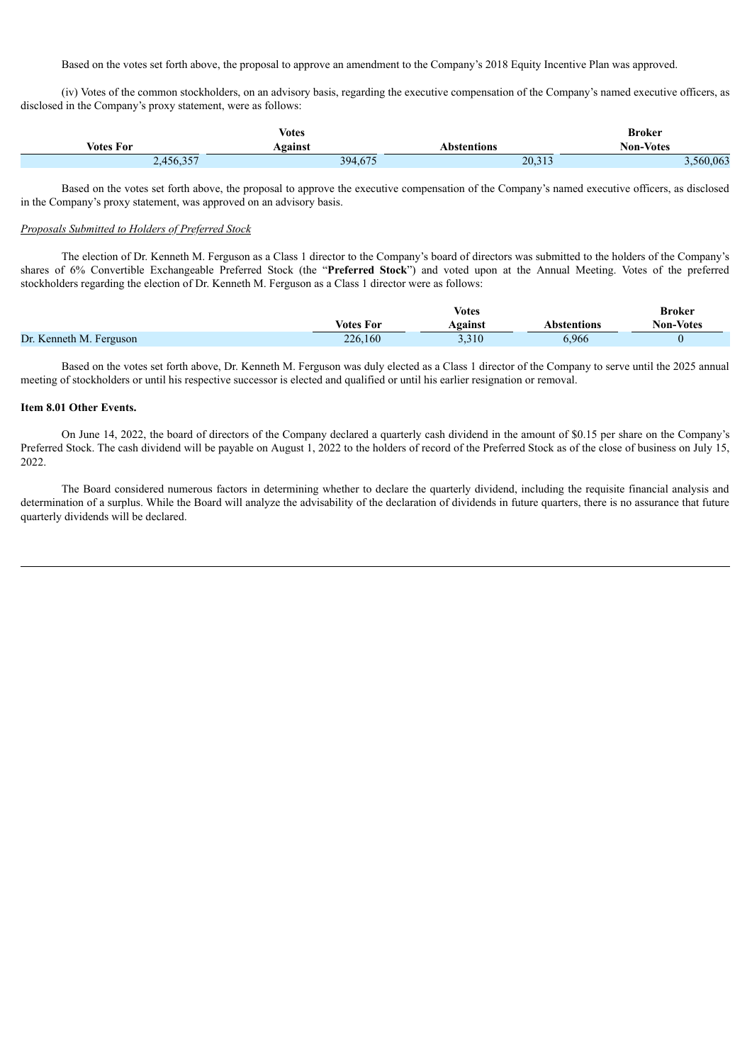Based on the votes set forth above, the proposal to approve an amendment to the Company's 2018 Equity Incentive Plan was approved.

(iv) Votes of the common stockholders, on an advisory basis, regarding the executive compensation of the Company's named executive officers, as disclosed in the Company's proxy statement, were as follows:

| <b>Votes</b>     |                                |             | <b>Broker</b>    |
|------------------|--------------------------------|-------------|------------------|
| <b>Votes For</b> | Against                        | ⊾bstentions | <b>Non-Votes</b> |
| 207<br>2,456,357 | $\sqrt{1-\epsilon}$<br>394,675 | 20,313      | .560.063         |

Based on the votes set forth above, the proposal to approve the executive compensation of the Company's named executive officers, as disclosed in the Company's proxy statement, was approved on an advisory basis.

#### *Proposals Submitted to Holders of Preferred Stock*

The election of Dr. Kenneth M. Ferguson as a Class 1 director to the Company's board of directors was submitted to the holders of the Company's shares of 6% Convertible Exchangeable Preferred Stock (the "**Preferred Stock**") and voted upon at the Annual Meeting. Votes of the preferred stockholders regarding the election of Dr. Kenneth M. Ferguson as a Class 1 director were as follows:

|                         | Votes            |                | Broker       |                  |
|-------------------------|------------------|----------------|--------------|------------------|
|                         | <b>Votes For</b> | <b>\gainst</b> | Abstentions  | <b>Non-Votes</b> |
| Dr. Kenneth M. Ferguson | 226,160          | 3.310          | <b>5.966</b> |                  |

Based on the votes set forth above, Dr. Kenneth M. Ferguson was duly elected as a Class 1 director of the Company to serve until the 2025 annual meeting of stockholders or until his respective successor is elected and qualified or until his earlier resignation or removal.

#### **Item 8.01 Other Events.**

On June 14, 2022, the board of directors of the Company declared a quarterly cash dividend in the amount of \$0.15 per share on the Company's Preferred Stock. The cash dividend will be payable on August 1, 2022 to the holders of record of the Preferred Stock as of the close of business on July 15, 2022.

The Board considered numerous factors in determining whether to declare the quarterly dividend, including the requisite financial analysis and determination of a surplus. While the Board will analyze the advisability of the declaration of dividends in future quarters, there is no assurance that future quarterly dividends will be declared.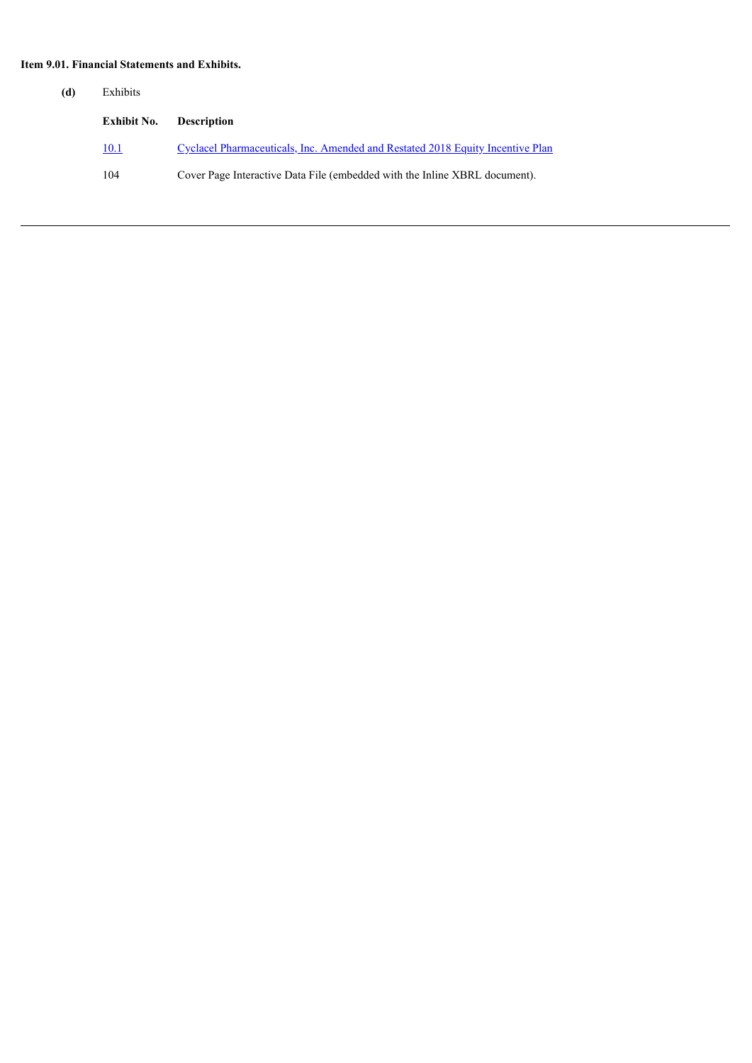# **Item 9.01. Financial Statements and Exhibits.**

| (d) | Exhibits    |                                                                                |
|-----|-------------|--------------------------------------------------------------------------------|
|     | Exhibit No. | <b>Description</b>                                                             |
|     | 10.1        | Cyclacel Pharmaceuticals, Inc. Amended and Restated 2018 Equity Incentive Plan |
|     | 104         | Cover Page Interactive Data File (embedded with the Inline XBRL document).     |
|     |             |                                                                                |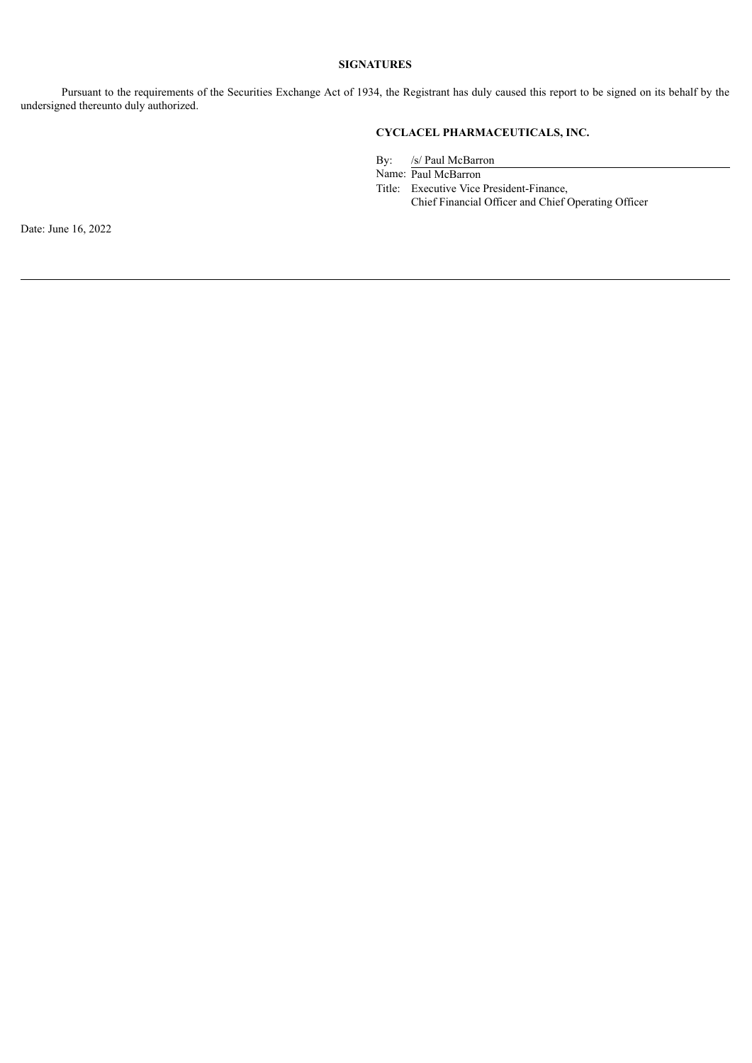### **SIGNATURES**

Pursuant to the requirements of the Securities Exchange Act of 1934, the Registrant has duly caused this report to be signed on its behalf by the undersigned thereunto duly authorized.

# **CYCLACEL PHARMACEUTICALS, INC.**

By: /s/ Paul McBarron

Name: Paul McBarron

Title: Executive Vice President-Finance, Chief Financial Officer and Chief Operating Officer

Date: June 16, 2022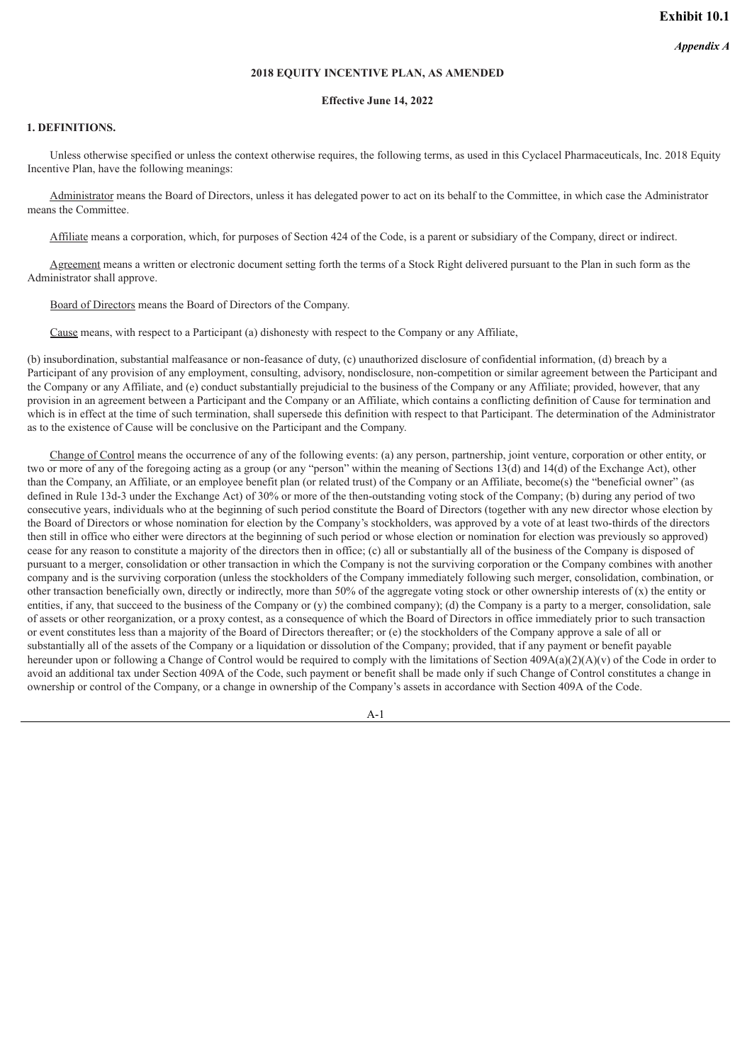#### **2018 EQUITY INCENTIVE PLAN, AS AMENDED**

#### **Effective June 14, 2022**

#### <span id="page-5-0"></span>**1. DEFINITIONS.**

Unless otherwise specified or unless the context otherwise requires, the following terms, as used in this Cyclacel Pharmaceuticals, Inc. 2018 Equity Incentive Plan, have the following meanings:

Administrator means the Board of Directors, unless it has delegated power to act on its behalf to the Committee, in which case the Administrator means the Committee.

Affiliate means a corporation, which, for purposes of Section 424 of the Code, is a parent or subsidiary of the Company, direct or indirect.

Agreement means a written or electronic document setting forth the terms of a Stock Right delivered pursuant to the Plan in such form as the Administrator shall approve.

Board of Directors means the Board of Directors of the Company.

Cause means, with respect to a Participant (a) dishonesty with respect to the Company or any Affiliate,

(b) insubordination, substantial malfeasance or non-feasance of duty, (c) unauthorized disclosure of confidential information, (d) breach by a Participant of any provision of any employment, consulting, advisory, nondisclosure, non-competition or similar agreement between the Participant and the Company or any Affiliate, and (e) conduct substantially prejudicial to the business of the Company or any Affiliate; provided, however, that any provision in an agreement between a Participant and the Company or an Affiliate, which contains a conflicting definition of Cause for termination and which is in effect at the time of such termination, shall supersede this definition with respect to that Participant. The determination of the Administrator as to the existence of Cause will be conclusive on the Participant and the Company.

Change of Control means the occurrence of any of the following events: (a) any person, partnership, joint venture, corporation or other entity, or two or more of any of the foregoing acting as a group (or any "person" within the meaning of Sections 13(d) and 14(d) of the Exchange Act), other than the Company, an Affiliate, or an employee benefit plan (or related trust) of the Company or an Affiliate, become(s) the "beneficial owner" (as defined in Rule 13d-3 under the Exchange Act) of 30% or more of the then-outstanding voting stock of the Company; (b) during any period of two consecutive years, individuals who at the beginning of such period constitute the Board of Directors (together with any new director whose election by the Board of Directors or whose nomination for election by the Company's stockholders, was approved by a vote of at least two-thirds of the directors then still in office who either were directors at the beginning of such period or whose election or nomination for election was previously so approved) cease for any reason to constitute a majority of the directors then in office; (c) all or substantially all of the business of the Company is disposed of pursuant to a merger, consolidation or other transaction in which the Company is not the surviving corporation or the Company combines with another company and is the surviving corporation (unless the stockholders of the Company immediately following such merger, consolidation, combination, or other transaction beneficially own, directly or indirectly, more than 50% of the aggregate voting stock or other ownership interests of  $(x)$  the entity or entities, if any, that succeed to the business of the Company or (y) the combined company); (d) the Company is a party to a merger, consolidation, sale of assets or other reorganization, or a proxy contest, as a consequence of which the Board of Directors in office immediately prior to such transaction or event constitutes less than a majority of the Board of Directors thereafter; or (e) the stockholders of the Company approve a sale of all or substantially all of the assets of the Company or a liquidation or dissolution of the Company; provided, that if any payment or benefit payable hereunder upon or following a Change of Control would be required to comply with the limitations of Section 409A(a)(2)(A)(y) of the Code in order to avoid an additional tax under Section 409A of the Code, such payment or benefit shall be made only if such Change of Control constitutes a change in ownership or control of the Company, or a change in ownership of the Company's assets in accordance with Section 409A of the Code.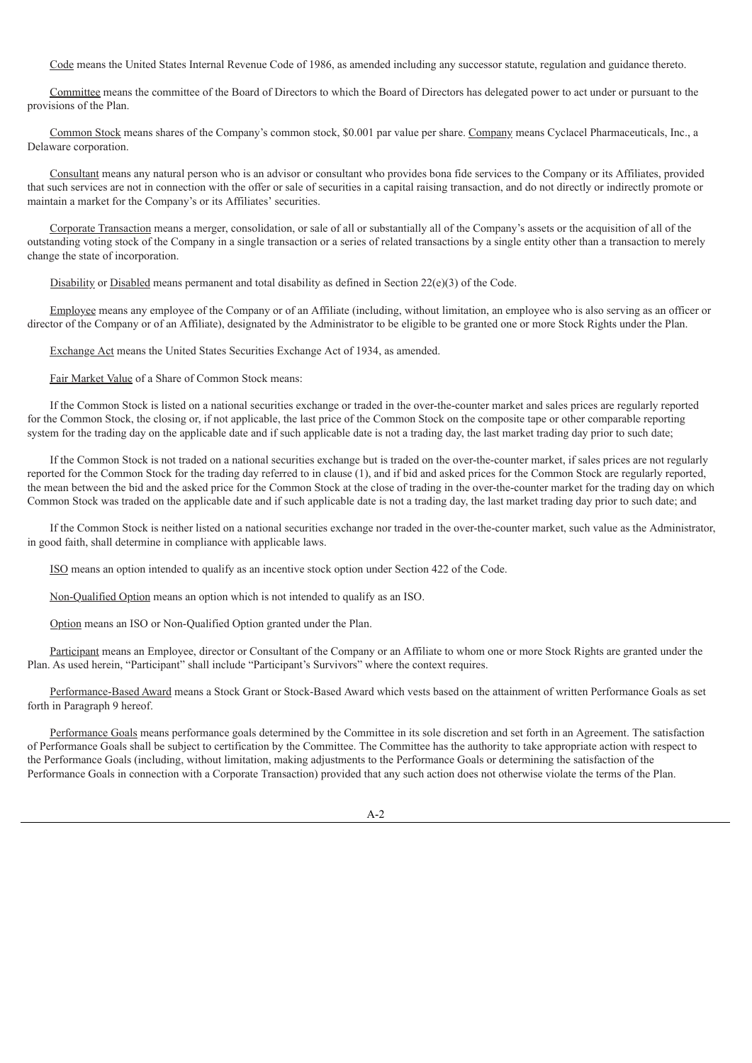Code means the United States Internal Revenue Code of 1986, as amended including any successor statute, regulation and guidance thereto.

Committee means the committee of the Board of Directors to which the Board of Directors has delegated power to act under or pursuant to the provisions of the Plan.

Common Stock means shares of the Company's common stock, \$0.001 par value per share. Company means Cyclacel Pharmaceuticals, Inc., a Delaware corporation.

Consultant means any natural person who is an advisor or consultant who provides bona fide services to the Company or its Affiliates, provided that such services are not in connection with the offer or sale of securities in a capital raising transaction, and do not directly or indirectly promote or maintain a market for the Company's or its Affiliates' securities.

Corporate Transaction means a merger, consolidation, or sale of all or substantially all of the Company's assets or the acquisition of all of the outstanding voting stock of the Company in a single transaction or a series of related transactions by a single entity other than a transaction to merely change the state of incorporation.

Disability or Disabled means permanent and total disability as defined in Section  $22(e)(3)$  of the Code.

Employee means any employee of the Company or of an Affiliate (including, without limitation, an employee who is also serving as an officer or director of the Company or of an Affiliate), designated by the Administrator to be eligible to be granted one or more Stock Rights under the Plan.

Exchange Act means the United States Securities Exchange Act of 1934, as amended.

Fair Market Value of a Share of Common Stock means:

If the Common Stock is listed on a national securities exchange or traded in the over-the-counter market and sales prices are regularly reported for the Common Stock, the closing or, if not applicable, the last price of the Common Stock on the composite tape or other comparable reporting system for the trading day on the applicable date and if such applicable date is not a trading day, the last market trading day prior to such date;

If the Common Stock is not traded on a national securities exchange but is traded on the over-the-counter market, if sales prices are not regularly reported for the Common Stock for the trading day referred to in clause (1), and if bid and asked prices for the Common Stock are regularly reported, the mean between the bid and the asked price for the Common Stock at the close of trading in the over-the-counter market for the trading day on which Common Stock was traded on the applicable date and if such applicable date is not a trading day, the last market trading day prior to such date; and

If the Common Stock is neither listed on a national securities exchange nor traded in the over-the-counter market, such value as the Administrator, in good faith, shall determine in compliance with applicable laws.

ISO means an option intended to qualify as an incentive stock option under Section 422 of the Code.

Non-Qualified Option means an option which is not intended to qualify as an ISO.

Option means an ISO or Non-Qualified Option granted under the Plan.

Participant means an Employee, director or Consultant of the Company or an Affiliate to whom one or more Stock Rights are granted under the Plan. As used herein, "Participant" shall include "Participant's Survivors" where the context requires.

Performance-Based Award means a Stock Grant or Stock-Based Award which vests based on the attainment of written Performance Goals as set forth in Paragraph 9 hereof.

Performance Goals means performance goals determined by the Committee in its sole discretion and set forth in an Agreement. The satisfaction of Performance Goals shall be subject to certification by the Committee. The Committee has the authority to take appropriate action with respect to the Performance Goals (including, without limitation, making adjustments to the Performance Goals or determining the satisfaction of the Performance Goals in connection with a Corporate Transaction) provided that any such action does not otherwise violate the terms of the Plan.

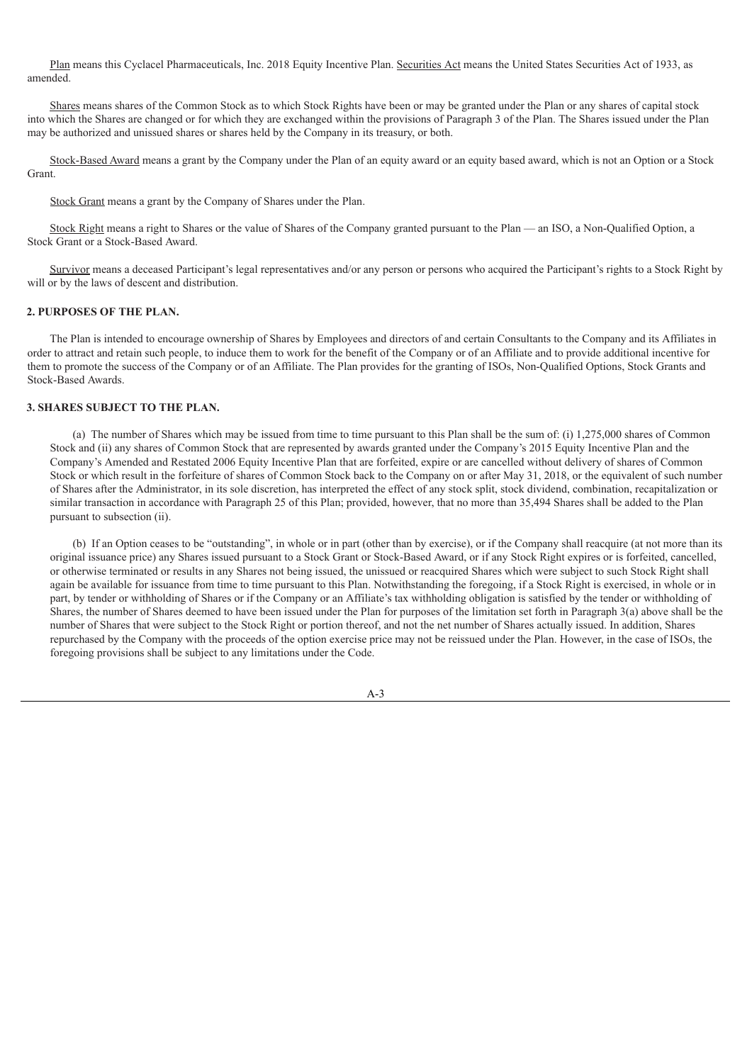Plan means this Cyclacel Pharmaceuticals, Inc. 2018 Equity Incentive Plan. Securities Act means the United States Securities Act of 1933, as amended.

Shares means shares of the Common Stock as to which Stock Rights have been or may be granted under the Plan or any shares of capital stock into which the Shares are changed or for which they are exchanged within the provisions of Paragraph 3 of the Plan. The Shares issued under the Plan may be authorized and unissued shares or shares held by the Company in its treasury, or both.

Stock-Based Award means a grant by the Company under the Plan of an equity award or an equity based award, which is not an Option or a Stock Grant.

Stock Grant means a grant by the Company of Shares under the Plan.

Stock Right means a right to Shares or the value of Shares of the Company granted pursuant to the Plan — an ISO, a Non-Qualified Option, a Stock Grant or a Stock-Based Award.

Survivor means a deceased Participant's legal representatives and/or any person or persons who acquired the Participant's rights to a Stock Right by will or by the laws of descent and distribution.

#### **2. PURPOSES OF THE PLAN.**

The Plan is intended to encourage ownership of Shares by Employees and directors of and certain Consultants to the Company and its Affiliates in order to attract and retain such people, to induce them to work for the benefit of the Company or of an Affiliate and to provide additional incentive for them to promote the success of the Company or of an Affiliate. The Plan provides for the granting of ISOs, Non-Qualified Options, Stock Grants and Stock-Based Awards.

# **3. SHARES SUBJECT TO THE PLAN.**

(a) The number of Shares which may be issued from time to time pursuant to this Plan shall be the sum of: (i) 1,275,000 shares of Common Stock and (ii) any shares of Common Stock that are represented by awards granted under the Company's 2015 Equity Incentive Plan and the Company's Amended and Restated 2006 Equity Incentive Plan that are forfeited, expire or are cancelled without delivery of shares of Common Stock or which result in the forfeiture of shares of Common Stock back to the Company on or after May 31, 2018, or the equivalent of such number of Shares after the Administrator, in its sole discretion, has interpreted the effect of any stock split, stock dividend, combination, recapitalization or similar transaction in accordance with Paragraph 25 of this Plan; provided, however, that no more than 35,494 Shares shall be added to the Plan pursuant to subsection (ii).

(b) If an Option ceases to be "outstanding", in whole or in part (other than by exercise), or if the Company shall reacquire (at not more than its original issuance price) any Shares issued pursuant to a Stock Grant or Stock-Based Award, or if any Stock Right expires or is forfeited, cancelled, or otherwise terminated or results in any Shares not being issued, the unissued or reacquired Shares which were subject to such Stock Right shall again be available for issuance from time to time pursuant to this Plan. Notwithstanding the foregoing, if a Stock Right is exercised, in whole or in part, by tender or withholding of Shares or if the Company or an Affiliate's tax withholding obligation is satisfied by the tender or withholding of Shares, the number of Shares deemed to have been issued under the Plan for purposes of the limitation set forth in Paragraph 3(a) above shall be the number of Shares that were subject to the Stock Right or portion thereof, and not the net number of Shares actually issued. In addition, Shares repurchased by the Company with the proceeds of the option exercise price may not be reissued under the Plan. However, in the case of ISOs, the foregoing provisions shall be subject to any limitations under the Code.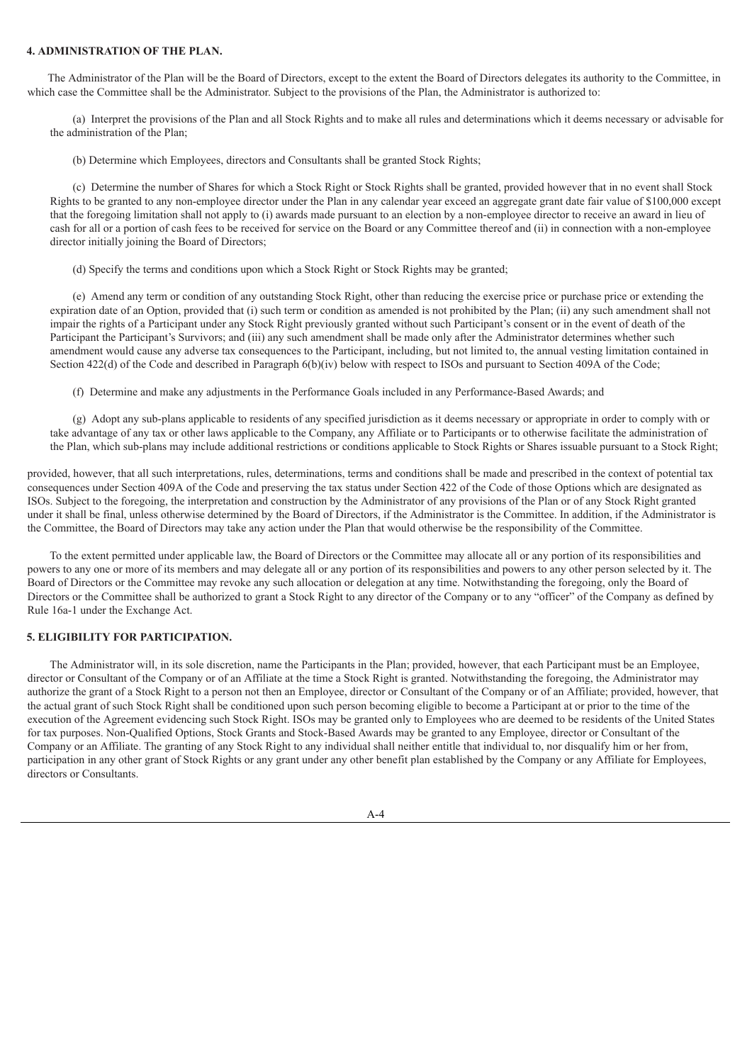### **4. ADMINISTRATION OF THE PLAN.**

The Administrator of the Plan will be the Board of Directors, except to the extent the Board of Directors delegates its authority to the Committee, in which case the Committee shall be the Administrator. Subject to the provisions of the Plan, the Administrator is authorized to:

(a) Interpret the provisions of the Plan and all Stock Rights and to make all rules and determinations which it deems necessary or advisable for the administration of the Plan;

(b) Determine which Employees, directors and Consultants shall be granted Stock Rights;

(c) Determine the number of Shares for which a Stock Right or Stock Rights shall be granted, provided however that in no event shall Stock Rights to be granted to any non-employee director under the Plan in any calendar year exceed an aggregate grant date fair value of \$100,000 except that the foregoing limitation shall not apply to (i) awards made pursuant to an election by a non-employee director to receive an award in lieu of cash for all or a portion of cash fees to be received for service on the Board or any Committee thereof and (ii) in connection with a non-employee director initially joining the Board of Directors;

(d) Specify the terms and conditions upon which a Stock Right or Stock Rights may be granted;

(e) Amend any term or condition of any outstanding Stock Right, other than reducing the exercise price or purchase price or extending the expiration date of an Option, provided that (i) such term or condition as amended is not prohibited by the Plan; (ii) any such amendment shall not impair the rights of a Participant under any Stock Right previously granted without such Participant's consent or in the event of death of the Participant the Participant's Survivors; and (iii) any such amendment shall be made only after the Administrator determines whether such amendment would cause any adverse tax consequences to the Participant, including, but not limited to, the annual vesting limitation contained in Section 422(d) of the Code and described in Paragraph 6(b)(iv) below with respect to ISOs and pursuant to Section 409A of the Code;

(f) Determine and make any adjustments in the Performance Goals included in any Performance-Based Awards; and

(g) Adopt any sub-plans applicable to residents of any specified jurisdiction as it deems necessary or appropriate in order to comply with or take advantage of any tax or other laws applicable to the Company, any Affiliate or to Participants or to otherwise facilitate the administration of the Plan, which sub-plans may include additional restrictions or conditions applicable to Stock Rights or Shares issuable pursuant to a Stock Right;

provided, however, that all such interpretations, rules, determinations, terms and conditions shall be made and prescribed in the context of potential tax consequences under Section 409A of the Code and preserving the tax status under Section 422 of the Code of those Options which are designated as ISOs. Subject to the foregoing, the interpretation and construction by the Administrator of any provisions of the Plan or of any Stock Right granted under it shall be final, unless otherwise determined by the Board of Directors, if the Administrator is the Committee. In addition, if the Administrator is the Committee, the Board of Directors may take any action under the Plan that would otherwise be the responsibility of the Committee.

To the extent permitted under applicable law, the Board of Directors or the Committee may allocate all or any portion of its responsibilities and powers to any one or more of its members and may delegate all or any portion of its responsibilities and powers to any other person selected by it. The Board of Directors or the Committee may revoke any such allocation or delegation at any time. Notwithstanding the foregoing, only the Board of Directors or the Committee shall be authorized to grant a Stock Right to any director of the Company or to any "officer" of the Company as defined by Rule 16a-1 under the Exchange Act.

### **5. ELIGIBILITY FOR PARTICIPATION.**

The Administrator will, in its sole discretion, name the Participants in the Plan; provided, however, that each Participant must be an Employee, director or Consultant of the Company or of an Affiliate at the time a Stock Right is granted. Notwithstanding the foregoing, the Administrator may authorize the grant of a Stock Right to a person not then an Employee, director or Consultant of the Company or of an Affiliate; provided, however, that the actual grant of such Stock Right shall be conditioned upon such person becoming eligible to become a Participant at or prior to the time of the execution of the Agreement evidencing such Stock Right. ISOs may be granted only to Employees who are deemed to be residents of the United States for tax purposes. Non-Qualified Options, Stock Grants and Stock-Based Awards may be granted to any Employee, director or Consultant of the Company or an Affiliate. The granting of any Stock Right to any individual shall neither entitle that individual to, nor disqualify him or her from, participation in any other grant of Stock Rights or any grant under any other benefit plan established by the Company or any Affiliate for Employees, directors or Consultants.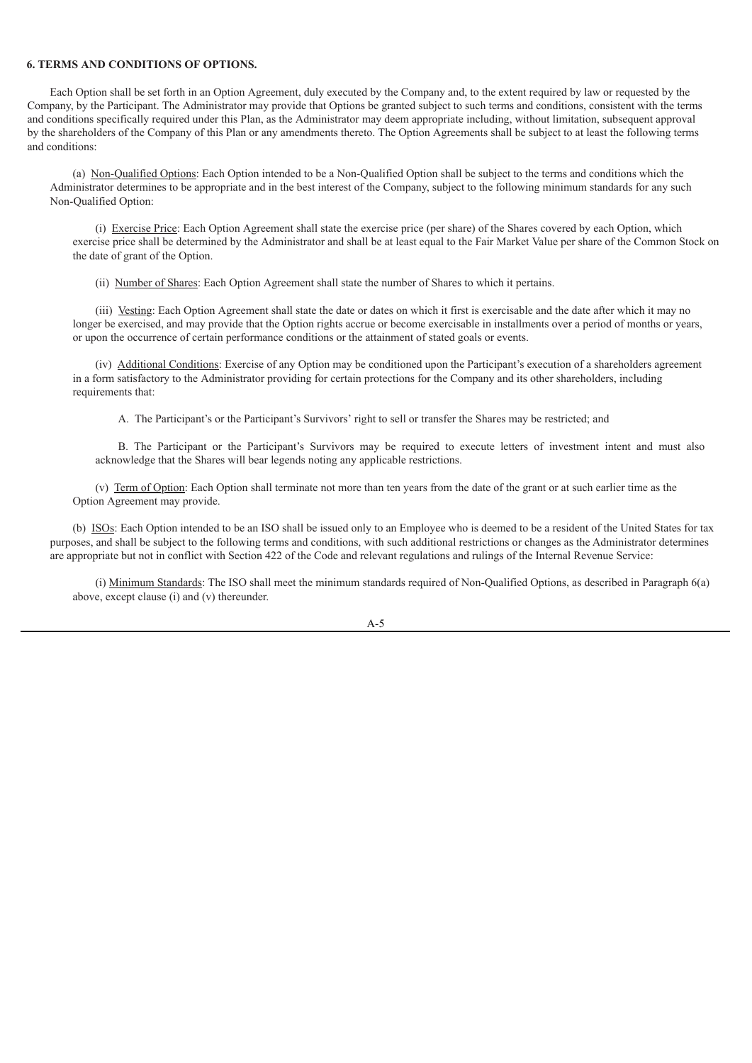### **6. TERMS AND CONDITIONS OF OPTIONS.**

Each Option shall be set forth in an Option Agreement, duly executed by the Company and, to the extent required by law or requested by the Company, by the Participant. The Administrator may provide that Options be granted subject to such terms and conditions, consistent with the terms and conditions specifically required under this Plan, as the Administrator may deem appropriate including, without limitation, subsequent approval by the shareholders of the Company of this Plan or any amendments thereto. The Option Agreements shall be subject to at least the following terms and conditions:

(a) Non-Qualified Options: Each Option intended to be a Non-Qualified Option shall be subject to the terms and conditions which the Administrator determines to be appropriate and in the best interest of the Company, subject to the following minimum standards for any such Non-Qualified Option:

(i) Exercise Price: Each Option Agreement shall state the exercise price (per share) of the Shares covered by each Option, which exercise price shall be determined by the Administrator and shall be at least equal to the Fair Market Value per share of the Common Stock on the date of grant of the Option.

(ii) Number of Shares: Each Option Agreement shall state the number of Shares to which it pertains.

(iii) Vesting: Each Option Agreement shall state the date or dates on which it first is exercisable and the date after which it may no longer be exercised, and may provide that the Option rights accrue or become exercisable in installments over a period of months or years, or upon the occurrence of certain performance conditions or the attainment of stated goals or events.

(iv) Additional Conditions: Exercise of any Option may be conditioned upon the Participant's execution of a shareholders agreement in a form satisfactory to the Administrator providing for certain protections for the Company and its other shareholders, including requirements that:

A. The Participant's or the Participant's Survivors' right to sell or transfer the Shares may be restricted; and

B. The Participant or the Participant's Survivors may be required to execute letters of investment intent and must also acknowledge that the Shares will bear legends noting any applicable restrictions.

(v) Term of Option: Each Option shall terminate not more than ten years from the date of the grant or at such earlier time as the Option Agreement may provide.

(b) ISOs: Each Option intended to be an ISO shall be issued only to an Employee who is deemed to be a resident of the United States for tax purposes, and shall be subject to the following terms and conditions, with such additional restrictions or changes as the Administrator determines are appropriate but not in conflict with Section 422 of the Code and relevant regulations and rulings of the Internal Revenue Service:

(i) Minimum Standards: The ISO shall meet the minimum standards required of Non-Qualified Options, as described in Paragraph 6(a) above, except clause (i) and (v) thereunder.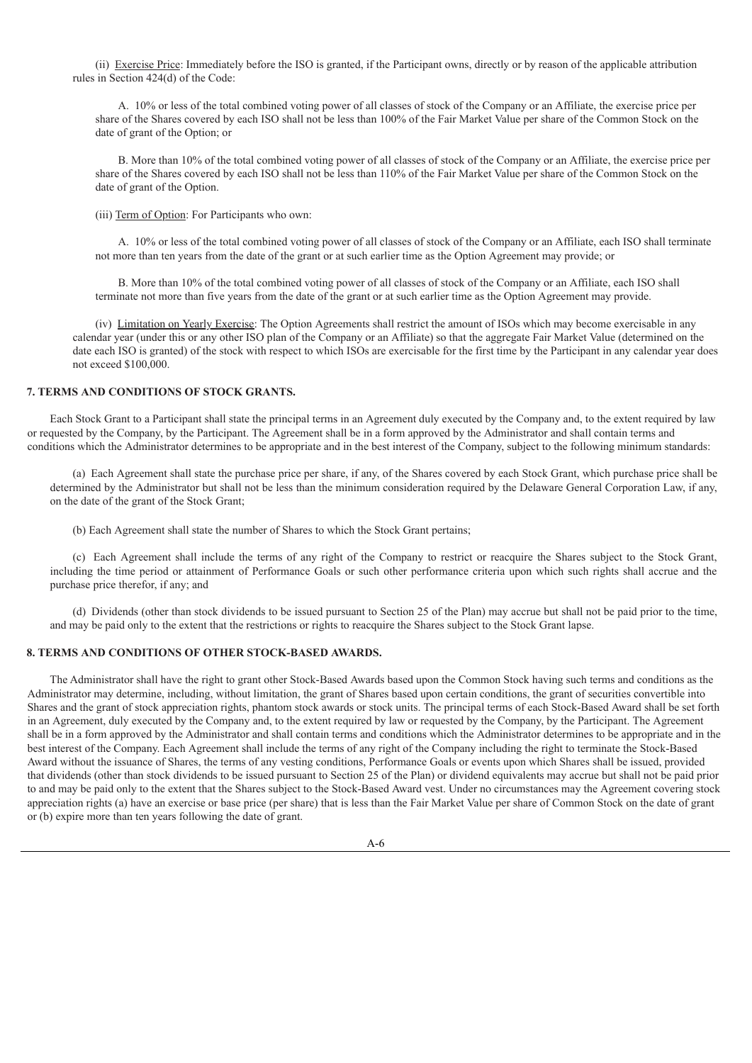(ii) Exercise Price: Immediately before the ISO is granted, if the Participant owns, directly or by reason of the applicable attribution rules in Section 424(d) of the Code:

A. 10% or less of the total combined voting power of all classes of stock of the Company or an Affiliate, the exercise price per share of the Shares covered by each ISO shall not be less than 100% of the Fair Market Value per share of the Common Stock on the date of grant of the Option; or

B. More than 10% of the total combined voting power of all classes of stock of the Company or an Affiliate, the exercise price per share of the Shares covered by each ISO shall not be less than 110% of the Fair Market Value per share of the Common Stock on the date of grant of the Option.

(iii) Term of Option: For Participants who own:

A. 10% or less of the total combined voting power of all classes of stock of the Company or an Affiliate, each ISO shall terminate not more than ten years from the date of the grant or at such earlier time as the Option Agreement may provide; or

B. More than 10% of the total combined voting power of all classes of stock of the Company or an Affiliate, each ISO shall terminate not more than five years from the date of the grant or at such earlier time as the Option Agreement may provide.

(iv) Limitation on Yearly Exercise: The Option Agreements shall restrict the amount of ISOs which may become exercisable in any calendar year (under this or any other ISO plan of the Company or an Affiliate) so that the aggregate Fair Market Value (determined on the date each ISO is granted) of the stock with respect to which ISOs are exercisable for the first time by the Participant in any calendar year does not exceed \$100,000.

#### **7. TERMS AND CONDITIONS OF STOCK GRANTS.**

Each Stock Grant to a Participant shall state the principal terms in an Agreement duly executed by the Company and, to the extent required by law or requested by the Company, by the Participant. The Agreement shall be in a form approved by the Administrator and shall contain terms and conditions which the Administrator determines to be appropriate and in the best interest of the Company, subject to the following minimum standards:

(a) Each Agreement shall state the purchase price per share, if any, of the Shares covered by each Stock Grant, which purchase price shall be determined by the Administrator but shall not be less than the minimum consideration required by the Delaware General Corporation Law, if any, on the date of the grant of the Stock Grant;

(b) Each Agreement shall state the number of Shares to which the Stock Grant pertains;

(c) Each Agreement shall include the terms of any right of the Company to restrict or reacquire the Shares subject to the Stock Grant, including the time period or attainment of Performance Goals or such other performance criteria upon which such rights shall accrue and the purchase price therefor, if any; and

(d) Dividends (other than stock dividends to be issued pursuant to Section 25 of the Plan) may accrue but shall not be paid prior to the time, and may be paid only to the extent that the restrictions or rights to reacquire the Shares subject to the Stock Grant lapse.

#### **8. TERMS AND CONDITIONS OF OTHER STOCK-BASED AWARDS.**

The Administrator shall have the right to grant other Stock-Based Awards based upon the Common Stock having such terms and conditions as the Administrator may determine, including, without limitation, the grant of Shares based upon certain conditions, the grant of securities convertible into Shares and the grant of stock appreciation rights, phantom stock awards or stock units. The principal terms of each Stock-Based Award shall be set forth in an Agreement, duly executed by the Company and, to the extent required by law or requested by the Company, by the Participant. The Agreement shall be in a form approved by the Administrator and shall contain terms and conditions which the Administrator determines to be appropriate and in the best interest of the Company. Each Agreement shall include the terms of any right of the Company including the right to terminate the Stock-Based Award without the issuance of Shares, the terms of any vesting conditions, Performance Goals or events upon which Shares shall be issued, provided that dividends (other than stock dividends to be issued pursuant to Section 25 of the Plan) or dividend equivalents may accrue but shall not be paid prior to and may be paid only to the extent that the Shares subject to the Stock-Based Award vest. Under no circumstances may the Agreement covering stock appreciation rights (a) have an exercise or base price (per share) that is less than the Fair Market Value per share of Common Stock on the date of grant or (b) expire more than ten years following the date of grant.

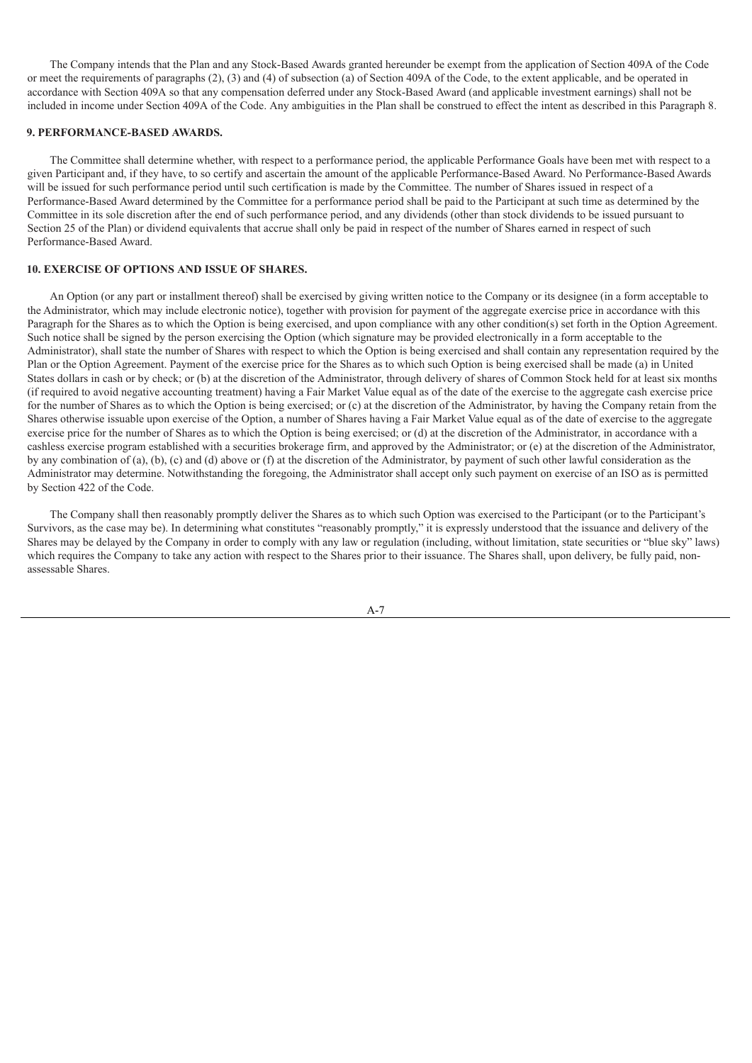The Company intends that the Plan and any Stock-Based Awards granted hereunder be exempt from the application of Section 409A of the Code or meet the requirements of paragraphs (2), (3) and (4) of subsection (a) of Section 409A of the Code, to the extent applicable, and be operated in accordance with Section 409A so that any compensation deferred under any Stock-Based Award (and applicable investment earnings) shall not be included in income under Section 409A of the Code. Any ambiguities in the Plan shall be construed to effect the intent as described in this Paragraph 8.

### **9. PERFORMANCE-BASED AWARDS.**

The Committee shall determine whether, with respect to a performance period, the applicable Performance Goals have been met with respect to a given Participant and, if they have, to so certify and ascertain the amount of the applicable Performance-Based Award. No Performance-Based Awards will be issued for such performance period until such certification is made by the Committee. The number of Shares issued in respect of a Performance-Based Award determined by the Committee for a performance period shall be paid to the Participant at such time as determined by the Committee in its sole discretion after the end of such performance period, and any dividends (other than stock dividends to be issued pursuant to Section 25 of the Plan) or dividend equivalents that accrue shall only be paid in respect of the number of Shares earned in respect of such Performance-Based Award.

### **10. EXERCISE OF OPTIONS AND ISSUE OF SHARES.**

An Option (or any part or installment thereof) shall be exercised by giving written notice to the Company or its designee (in a form acceptable to the Administrator, which may include electronic notice), together with provision for payment of the aggregate exercise price in accordance with this Paragraph for the Shares as to which the Option is being exercised, and upon compliance with any other condition(s) set forth in the Option Agreement. Such notice shall be signed by the person exercising the Option (which signature may be provided electronically in a form acceptable to the Administrator), shall state the number of Shares with respect to which the Option is being exercised and shall contain any representation required by the Plan or the Option Agreement. Payment of the exercise price for the Shares as to which such Option is being exercised shall be made (a) in United States dollars in cash or by check; or (b) at the discretion of the Administrator, through delivery of shares of Common Stock held for at least six months (if required to avoid negative accounting treatment) having a Fair Market Value equal as of the date of the exercise to the aggregate cash exercise price for the number of Shares as to which the Option is being exercised; or (c) at the discretion of the Administrator, by having the Company retain from the Shares otherwise issuable upon exercise of the Option, a number of Shares having a Fair Market Value equal as of the date of exercise to the aggregate exercise price for the number of Shares as to which the Option is being exercised; or (d) at the discretion of the Administrator, in accordance with a cashless exercise program established with a securities brokerage firm, and approved by the Administrator; or (e) at the discretion of the Administrator, by any combination of (a), (b), (c) and (d) above or (f) at the discretion of the Administrator, by payment of such other lawful consideration as the Administrator may determine. Notwithstanding the foregoing, the Administrator shall accept only such payment on exercise of an ISO as is permitted by Section 422 of the Code.

The Company shall then reasonably promptly deliver the Shares as to which such Option was exercised to the Participant (or to the Participant's Survivors, as the case may be). In determining what constitutes "reasonably promptly," it is expressly understood that the issuance and delivery of the Shares may be delayed by the Company in order to comply with any law or regulation (including, without limitation, state securities or "blue sky" laws) which requires the Company to take any action with respect to the Shares prior to their issuance. The Shares shall, upon delivery, be fully paid, nonassessable Shares.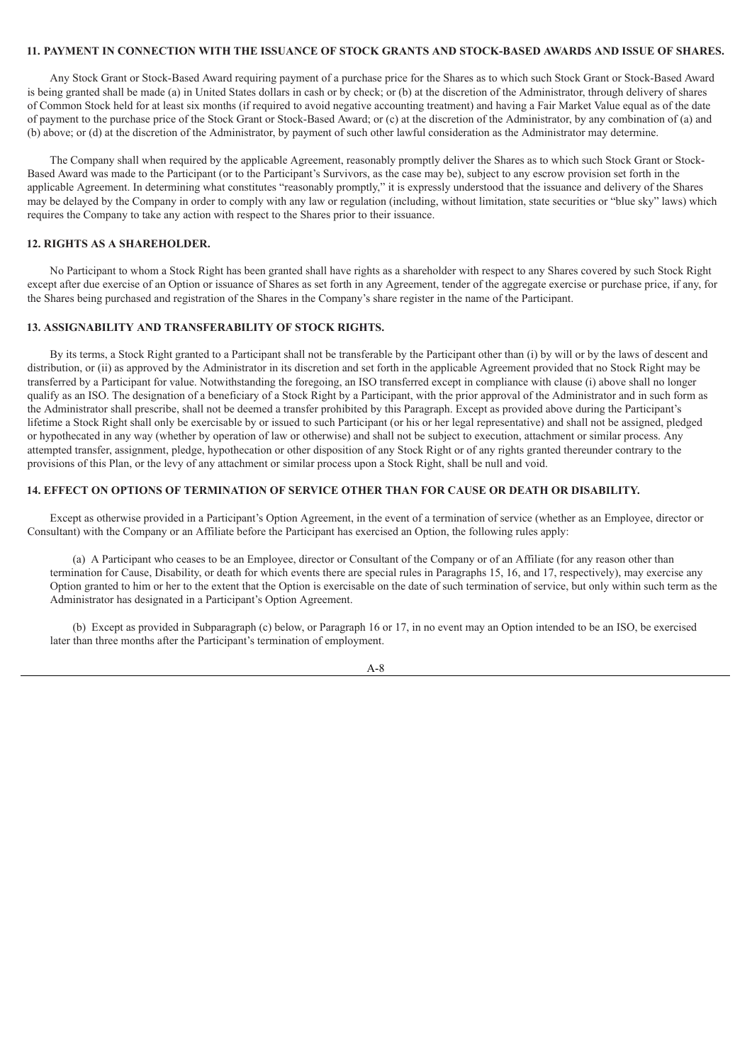### **11. PAYMENT IN CONNECTION WITH THE ISSUANCE OF STOCK GRANTS AND STOCK-BASED AWARDS AND ISSUE OF SHARES.**

Any Stock Grant or Stock-Based Award requiring payment of a purchase price for the Shares as to which such Stock Grant or Stock-Based Award is being granted shall be made (a) in United States dollars in cash or by check; or (b) at the discretion of the Administrator, through delivery of shares of Common Stock held for at least six months (if required to avoid negative accounting treatment) and having a Fair Market Value equal as of the date of payment to the purchase price of the Stock Grant or Stock-Based Award; or (c) at the discretion of the Administrator, by any combination of (a) and (b) above; or (d) at the discretion of the Administrator, by payment of such other lawful consideration as the Administrator may determine.

The Company shall when required by the applicable Agreement, reasonably promptly deliver the Shares as to which such Stock Grant or Stock-Based Award was made to the Participant (or to the Participant's Survivors, as the case may be), subject to any escrow provision set forth in the applicable Agreement. In determining what constitutes "reasonably promptly," it is expressly understood that the issuance and delivery of the Shares may be delayed by the Company in order to comply with any law or regulation (including, without limitation, state securities or "blue sky" laws) which requires the Company to take any action with respect to the Shares prior to their issuance.

### **12. RIGHTS AS A SHAREHOLDER.**

No Participant to whom a Stock Right has been granted shall have rights as a shareholder with respect to any Shares covered by such Stock Right except after due exercise of an Option or issuance of Shares as set forth in any Agreement, tender of the aggregate exercise or purchase price, if any, for the Shares being purchased and registration of the Shares in the Company's share register in the name of the Participant.

### **13. ASSIGNABILITY AND TRANSFERABILITY OF STOCK RIGHTS.**

By its terms, a Stock Right granted to a Participant shall not be transferable by the Participant other than (i) by will or by the laws of descent and distribution, or (ii) as approved by the Administrator in its discretion and set forth in the applicable Agreement provided that no Stock Right may be transferred by a Participant for value. Notwithstanding the foregoing, an ISO transferred except in compliance with clause (i) above shall no longer qualify as an ISO. The designation of a beneficiary of a Stock Right by a Participant, with the prior approval of the Administrator and in such form as the Administrator shall prescribe, shall not be deemed a transfer prohibited by this Paragraph. Except as provided above during the Participant's lifetime a Stock Right shall only be exercisable by or issued to such Participant (or his or her legal representative) and shall not be assigned, pledged or hypothecated in any way (whether by operation of law or otherwise) and shall not be subject to execution, attachment or similar process. Any attempted transfer, assignment, pledge, hypothecation or other disposition of any Stock Right or of any rights granted thereunder contrary to the provisions of this Plan, or the levy of any attachment or similar process upon a Stock Right, shall be null and void.

### **14. EFFECT ON OPTIONS OF TERMINATION OF SERVICE OTHER THAN FOR CAUSE OR DEATH OR DISABILITY.**

Except as otherwise provided in a Participant's Option Agreement, in the event of a termination of service (whether as an Employee, director or Consultant) with the Company or an Affiliate before the Participant has exercised an Option, the following rules apply:

(a) A Participant who ceases to be an Employee, director or Consultant of the Company or of an Affiliate (for any reason other than termination for Cause, Disability, or death for which events there are special rules in Paragraphs 15, 16, and 17, respectively), may exercise any Option granted to him or her to the extent that the Option is exercisable on the date of such termination of service, but only within such term as the Administrator has designated in a Participant's Option Agreement.

(b) Except as provided in Subparagraph (c) below, or Paragraph 16 or 17, in no event may an Option intended to be an ISO, be exercised later than three months after the Participant's termination of employment.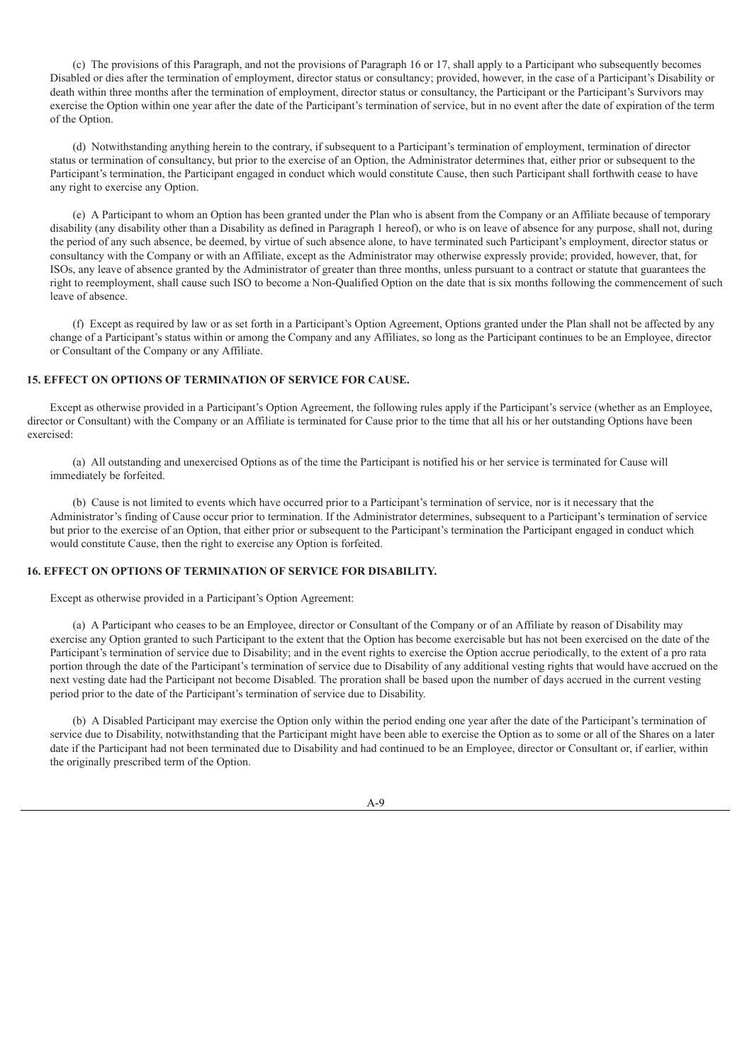(c) The provisions of this Paragraph, and not the provisions of Paragraph 16 or 17, shall apply to a Participant who subsequently becomes Disabled or dies after the termination of employment, director status or consultancy; provided, however, in the case of a Participant's Disability or death within three months after the termination of employment, director status or consultancy, the Participant or the Participant's Survivors may exercise the Option within one year after the date of the Participant's termination of service, but in no event after the date of expiration of the term of the Option.

(d) Notwithstanding anything herein to the contrary, if subsequent to a Participant's termination of employment, termination of director status or termination of consultancy, but prior to the exercise of an Option, the Administrator determines that, either prior or subsequent to the Participant's termination, the Participant engaged in conduct which would constitute Cause, then such Participant shall forthwith cease to have any right to exercise any Option.

(e) A Participant to whom an Option has been granted under the Plan who is absent from the Company or an Affiliate because of temporary disability (any disability other than a Disability as defined in Paragraph 1 hereof), or who is on leave of absence for any purpose, shall not, during the period of any such absence, be deemed, by virtue of such absence alone, to have terminated such Participant's employment, director status or consultancy with the Company or with an Affiliate, except as the Administrator may otherwise expressly provide; provided, however, that, for ISOs, any leave of absence granted by the Administrator of greater than three months, unless pursuant to a contract or statute that guarantees the right to reemployment, shall cause such ISO to become a Non-Qualified Option on the date that is six months following the commencement of such leave of absence.

(f) Except as required by law or as set forth in a Participant's Option Agreement, Options granted under the Plan shall not be affected by any change of a Participant's status within or among the Company and any Affiliates, so long as the Participant continues to be an Employee, director or Consultant of the Company or any Affiliate.

### **15. EFFECT ON OPTIONS OF TERMINATION OF SERVICE FOR CAUSE.**

Except as otherwise provided in a Participant's Option Agreement, the following rules apply if the Participant's service (whether as an Employee, director or Consultant) with the Company or an Affiliate is terminated for Cause prior to the time that all his or her outstanding Options have been exercised:

(a) All outstanding and unexercised Options as of the time the Participant is notified his or her service is terminated for Cause will immediately be forfeited.

(b) Cause is not limited to events which have occurred prior to a Participant's termination of service, nor is it necessary that the Administrator's finding of Cause occur prior to termination. If the Administrator determines, subsequent to a Participant's termination of service but prior to the exercise of an Option, that either prior or subsequent to the Participant's termination the Participant engaged in conduct which would constitute Cause, then the right to exercise any Option is forfeited.

#### **16. EFFECT ON OPTIONS OF TERMINATION OF SERVICE FOR DISABILITY.**

Except as otherwise provided in a Participant's Option Agreement:

(a) A Participant who ceases to be an Employee, director or Consultant of the Company or of an Affiliate by reason of Disability may exercise any Option granted to such Participant to the extent that the Option has become exercisable but has not been exercised on the date of the Participant's termination of service due to Disability; and in the event rights to exercise the Option accrue periodically, to the extent of a pro rata portion through the date of the Participant's termination of service due to Disability of any additional vesting rights that would have accrued on the next vesting date had the Participant not become Disabled. The proration shall be based upon the number of days accrued in the current vesting period prior to the date of the Participant's termination of service due to Disability.

(b) A Disabled Participant may exercise the Option only within the period ending one year after the date of the Participant's termination of service due to Disability, notwithstanding that the Participant might have been able to exercise the Option as to some or all of the Shares on a later date if the Participant had not been terminated due to Disability and had continued to be an Employee, director or Consultant or, if earlier, within the originally prescribed term of the Option.

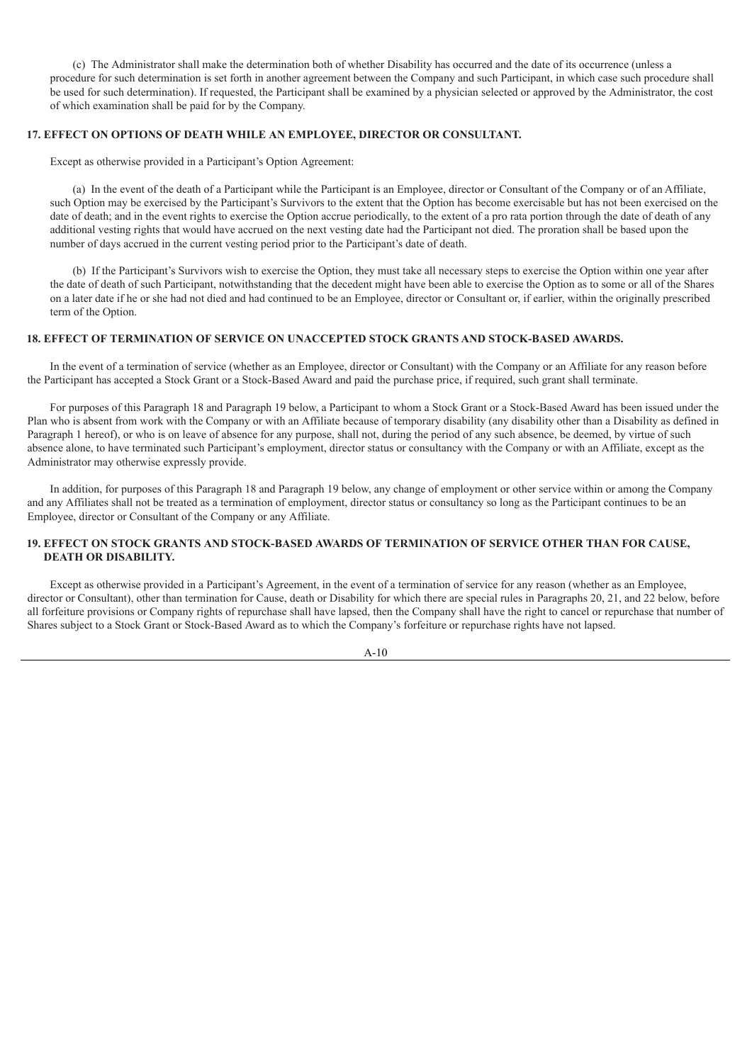(c) The Administrator shall make the determination both of whether Disability has occurred and the date of its occurrence (unless a procedure for such determination is set forth in another agreement between the Company and such Participant, in which case such procedure shall be used for such determination). If requested, the Participant shall be examined by a physician selected or approved by the Administrator, the cost of which examination shall be paid for by the Company.

### **17. EFFECT ON OPTIONS OF DEATH WHILE AN EMPLOYEE, DIRECTOR OR CONSULTANT.**

Except as otherwise provided in a Participant's Option Agreement:

(a) In the event of the death of a Participant while the Participant is an Employee, director or Consultant of the Company or of an Affiliate, such Option may be exercised by the Participant's Survivors to the extent that the Option has become exercisable but has not been exercised on the date of death; and in the event rights to exercise the Option accrue periodically, to the extent of a pro rata portion through the date of death of any additional vesting rights that would have accrued on the next vesting date had the Participant not died. The proration shall be based upon the number of days accrued in the current vesting period prior to the Participant's date of death.

(b) If the Participant's Survivors wish to exercise the Option, they must take all necessary steps to exercise the Option within one year after the date of death of such Participant, notwithstanding that the decedent might have been able to exercise the Option as to some or all of the Shares on a later date if he or she had not died and had continued to be an Employee, director or Consultant or, if earlier, within the originally prescribed term of the Option.

### **18. EFFECT OF TERMINATION OF SERVICE ON UNACCEPTED STOCK GRANTS AND STOCK-BASED AWARDS.**

In the event of a termination of service (whether as an Employee, director or Consultant) with the Company or an Affiliate for any reason before the Participant has accepted a Stock Grant or a Stock-Based Award and paid the purchase price, if required, such grant shall terminate.

For purposes of this Paragraph 18 and Paragraph 19 below, a Participant to whom a Stock Grant or a Stock-Based Award has been issued under the Plan who is absent from work with the Company or with an Affiliate because of temporary disability (any disability other than a Disability as defined in Paragraph 1 hereof), or who is on leave of absence for any purpose, shall not, during the period of any such absence, be deemed, by virtue of such absence alone, to have terminated such Participant's employment, director status or consultancy with the Company or with an Affiliate, except as the Administrator may otherwise expressly provide.

In addition, for purposes of this Paragraph 18 and Paragraph 19 below, any change of employment or other service within or among the Company and any Affiliates shall not be treated as a termination of employment, director status or consultancy so long as the Participant continues to be an Employee, director or Consultant of the Company or any Affiliate.

### **19. EFFECT ON STOCK GRANTS AND STOCK-BASED AWARDS OF TERMINATION OF SERVICE OTHER THAN FOR CAUSE, DEATH OR DISABILITY.**

Except as otherwise provided in a Participant's Agreement, in the event of a termination of service for any reason (whether as an Employee, director or Consultant), other than termination for Cause, death or Disability for which there are special rules in Paragraphs 20, 21, and 22 below, before all forfeiture provisions or Company rights of repurchase shall have lapsed, then the Company shall have the right to cancel or repurchase that number of Shares subject to a Stock Grant or Stock-Based Award as to which the Company's forfeiture or repurchase rights have not lapsed.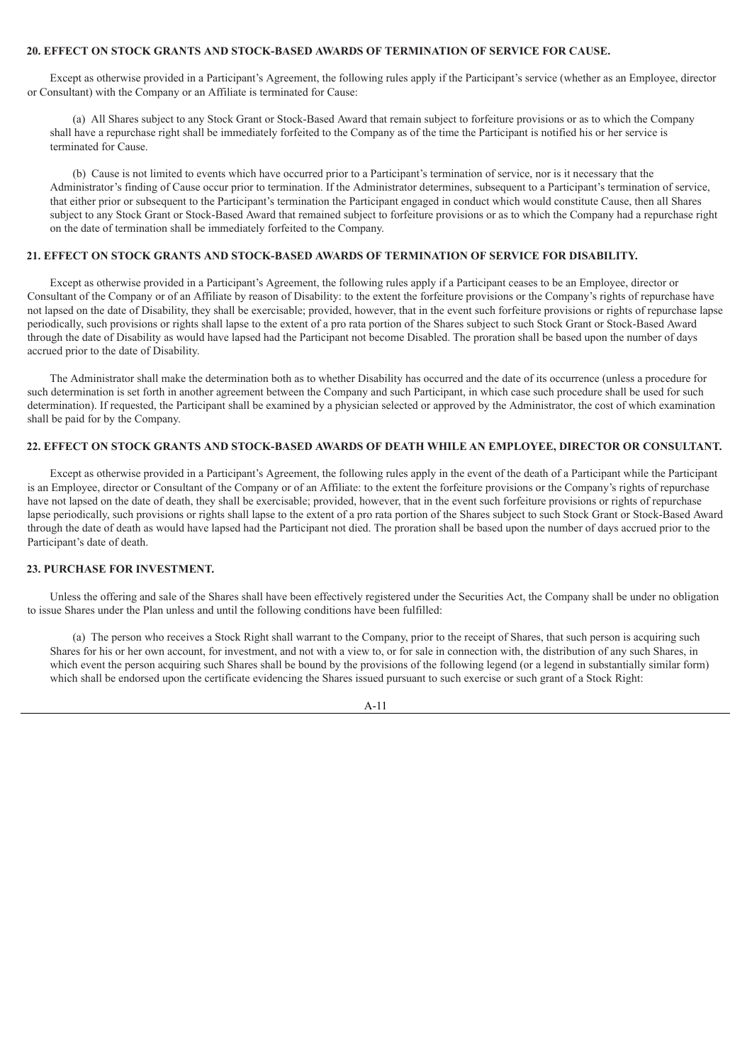### **20. EFFECT ON STOCK GRANTS AND STOCK-BASED AWARDS OF TERMINATION OF SERVICE FOR CAUSE.**

Except as otherwise provided in a Participant's Agreement, the following rules apply if the Participant's service (whether as an Employee, director or Consultant) with the Company or an Affiliate is terminated for Cause:

(a) All Shares subject to any Stock Grant or Stock-Based Award that remain subject to forfeiture provisions or as to which the Company shall have a repurchase right shall be immediately forfeited to the Company as of the time the Participant is notified his or her service is terminated for Cause.

(b) Cause is not limited to events which have occurred prior to a Participant's termination of service, nor is it necessary that the Administrator's finding of Cause occur prior to termination. If the Administrator determines, subsequent to a Participant's termination of service, that either prior or subsequent to the Participant's termination the Participant engaged in conduct which would constitute Cause, then all Shares subject to any Stock Grant or Stock-Based Award that remained subject to forfeiture provisions or as to which the Company had a repurchase right on the date of termination shall be immediately forfeited to the Company.

### **21. EFFECT ON STOCK GRANTS AND STOCK-BASED AWARDS OF TERMINATION OF SERVICE FOR DISABILITY.**

Except as otherwise provided in a Participant's Agreement, the following rules apply if a Participant ceases to be an Employee, director or Consultant of the Company or of an Affiliate by reason of Disability: to the extent the forfeiture provisions or the Company's rights of repurchase have not lapsed on the date of Disability, they shall be exercisable; provided, however, that in the event such forfeiture provisions or rights of repurchase lapse periodically, such provisions or rights shall lapse to the extent of a pro rata portion of the Shares subject to such Stock Grant or Stock-Based Award through the date of Disability as would have lapsed had the Participant not become Disabled. The proration shall be based upon the number of days accrued prior to the date of Disability.

The Administrator shall make the determination both as to whether Disability has occurred and the date of its occurrence (unless a procedure for such determination is set forth in another agreement between the Company and such Participant, in which case such procedure shall be used for such determination). If requested, the Participant shall be examined by a physician selected or approved by the Administrator, the cost of which examination shall be paid for by the Company.

### **22. EFFECT ON STOCK GRANTS AND STOCK-BASED AWARDS OF DEATH WHILE AN EMPLOYEE, DIRECTOR OR CONSULTANT.**

Except as otherwise provided in a Participant's Agreement, the following rules apply in the event of the death of a Participant while the Participant is an Employee, director or Consultant of the Company or of an Affiliate: to the extent the forfeiture provisions or the Company's rights of repurchase have not lapsed on the date of death, they shall be exercisable; provided, however, that in the event such forfeiture provisions or rights of repurchase lapse periodically, such provisions or rights shall lapse to the extent of a pro rata portion of the Shares subject to such Stock Grant or Stock-Based Award through the date of death as would have lapsed had the Participant not died. The proration shall be based upon the number of days accrued prior to the Participant's date of death.

### **23. PURCHASE FOR INVESTMENT.**

Unless the offering and sale of the Shares shall have been effectively registered under the Securities Act, the Company shall be under no obligation to issue Shares under the Plan unless and until the following conditions have been fulfilled:

(a) The person who receives a Stock Right shall warrant to the Company, prior to the receipt of Shares, that such person is acquiring such Shares for his or her own account, for investment, and not with a view to, or for sale in connection with, the distribution of any such Shares, in which event the person acquiring such Shares shall be bound by the provisions of the following legend (or a legend in substantially similar form) which shall be endorsed upon the certificate evidencing the Shares issued pursuant to such exercise or such grant of a Stock Right:

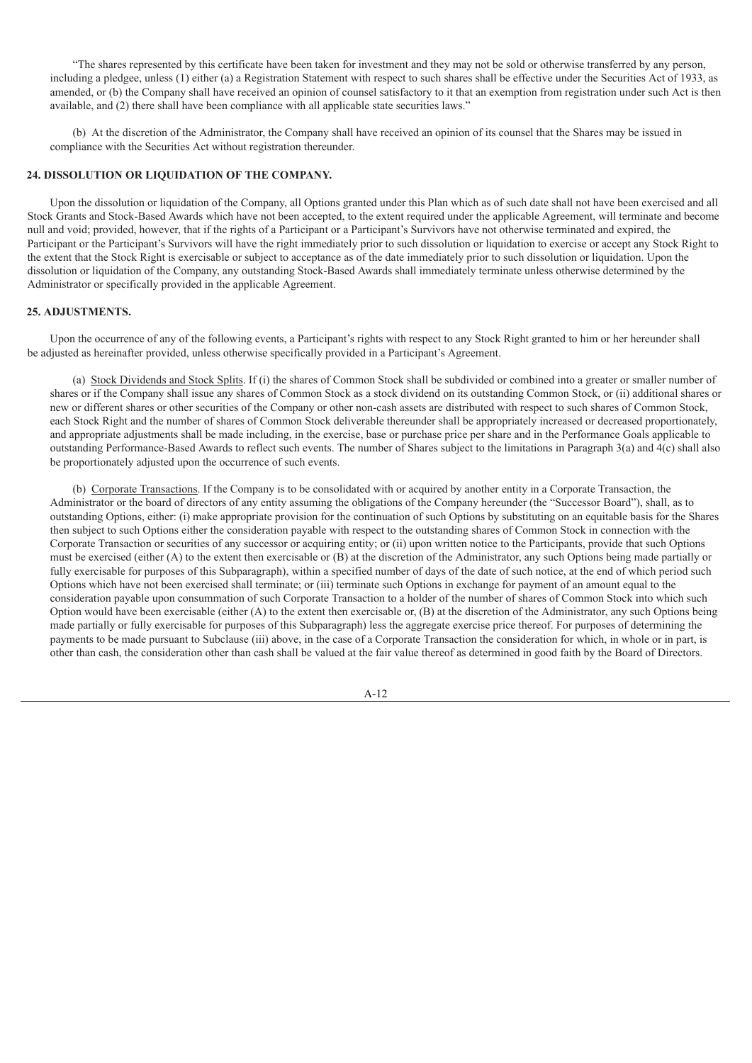"The shares represented by this certificate have been taken for investment and they may not be sold or otherwise transferred by any person, including a pledgee, unless (1) either (a) a Registration Statement with respect to such shares shall be effective under the Securities Act of 1933, as amended, or (b) the Company shall have received an opinion of counsel satisfactory to it that an exemption from registration under such Act is then available, and (2) there shall have been compliance with all applicable state securities laws."

(b) At the discretion of the Administrator, the Company shall have received an opinion of its counsel that the Shares may be issued in compliance with the Securities Act without registration thereunder.

### **24. DISSOLUTION OR LIQUIDATION OF THE COMPANY.**

Upon the dissolution or liquidation of the Company, all Options granted under this Plan which as of such date shall not have been exercised and all Stock Grants and Stock-Based Awards which have not been accepted, to the extent required under the applicable Agreement, will terminate and become null and void; provided, however, that if the rights of a Participant or a Participant's Survivors have not otherwise terminated and expired, the Participant or the Participant's Survivors will have the right immediately prior to such dissolution or liquidation to exercise or accept any Stock Right to the extent that the Stock Right is exercisable or subject to acceptance as of the date immediately prior to such dissolution or liquidation. Upon the dissolution or liquidation of the Company, any outstanding Stock-Based Awards shall immediately terminate unless otherwise determined by the Administrator or specifically provided in the applicable Agreement.

#### **25. ADJUSTMENTS.**

Upon the occurrence of any of the following events, a Participant's rights with respect to any Stock Right granted to him or her hereunder shall be adjusted as hereinafter provided, unless otherwise specifically provided in a Participant's Agreement.

(a) Stock Dividends and Stock Splits. If (i) the shares of Common Stock shall be subdivided or combined into a greater or smaller number of shares or if the Company shall issue any shares of Common Stock as a stock dividend on its outstanding Common Stock, or (ii) additional shares or new or different shares or other securities of the Company or other non-cash assets are distributed with respect to such shares of Common Stock, each Stock Right and the number of shares of Common Stock deliverable thereunder shall be appropriately increased or decreased proportionately, and appropriate adjustments shall be made including, in the exercise, base or purchase price per share and in the Performance Goals applicable to outstanding Performance-Based Awards to reflect such events. The number of Shares subject to the limitations in Paragraph 3(a) and 4(c) shall also be proportionately adjusted upon the occurrence of such events.

(b) Corporate Transactions. If the Company is to be consolidated with or acquired by another entity in a Corporate Transaction, the Administrator or the board of directors of any entity assuming the obligations of the Company hereunder (the "Successor Board"), shall, as to outstanding Options, either: (i) make appropriate provision for the continuation of such Options by substituting on an equitable basis for the Shares then subject to such Options either the consideration payable with respect to the outstanding shares of Common Stock in connection with the Corporate Transaction or securities of any successor or acquiring entity; or (ii) upon written notice to the Participants, provide that such Options must be exercised (either (A) to the extent then exercisable or (B) at the discretion of the Administrator, any such Options being made partially or fully exercisable for purposes of this Subparagraph), within a specified number of days of the date of such notice, at the end of which period such Options which have not been exercised shall terminate; or (iii) terminate such Options in exchange for payment of an amount equal to the consideration payable upon consummation of such Corporate Transaction to a holder of the number of shares of Common Stock into which such Option would have been exercisable (either (A) to the extent then exercisable or, (B) at the discretion of the Administrator, any such Options being made partially or fully exercisable for purposes of this Subparagraph) less the aggregate exercise price thereof. For purposes of determining the payments to be made pursuant to Subclause (iii) above, in the case of a Corporate Transaction the consideration for which, in whole or in part, is other than cash, the consideration other than cash shall be valued at the fair value thereof as determined in good faith by the Board of Directors.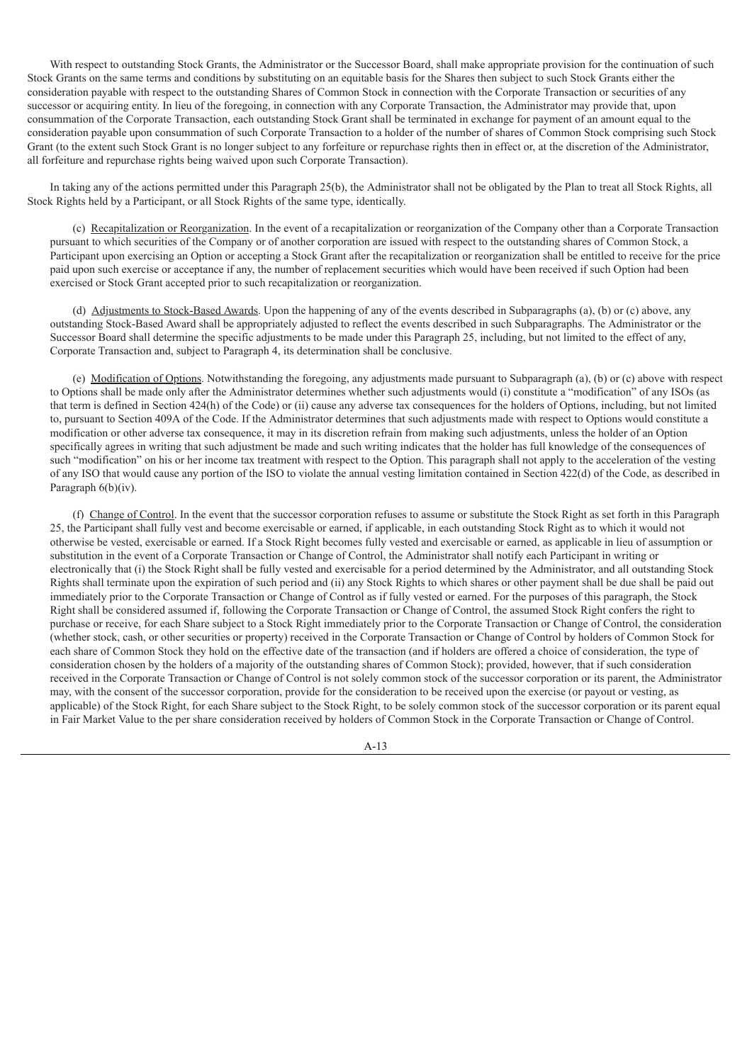With respect to outstanding Stock Grants, the Administrator or the Successor Board, shall make appropriate provision for the continuation of such Stock Grants on the same terms and conditions by substituting on an equitable basis for the Shares then subject to such Stock Grants either the consideration payable with respect to the outstanding Shares of Common Stock in connection with the Corporate Transaction or securities of any successor or acquiring entity. In lieu of the foregoing, in connection with any Corporate Transaction, the Administrator may provide that, upon consummation of the Corporate Transaction, each outstanding Stock Grant shall be terminated in exchange for payment of an amount equal to the consideration payable upon consummation of such Corporate Transaction to a holder of the number of shares of Common Stock comprising such Stock Grant (to the extent such Stock Grant is no longer subject to any forfeiture or repurchase rights then in effect or, at the discretion of the Administrator, all forfeiture and repurchase rights being waived upon such Corporate Transaction).

In taking any of the actions permitted under this Paragraph 25(b), the Administrator shall not be obligated by the Plan to treat all Stock Rights, all Stock Rights held by a Participant, or all Stock Rights of the same type, identically.

(c) Recapitalization or Reorganization. In the event of a recapitalization or reorganization of the Company other than a Corporate Transaction pursuant to which securities of the Company or of another corporation are issued with respect to the outstanding shares of Common Stock, a Participant upon exercising an Option or accepting a Stock Grant after the recapitalization or reorganization shall be entitled to receive for the price paid upon such exercise or acceptance if any, the number of replacement securities which would have been received if such Option had been exercised or Stock Grant accepted prior to such recapitalization or reorganization.

(d) Adjustments to Stock-Based Awards. Upon the happening of any of the events described in Subparagraphs (a), (b) or (c) above, any outstanding Stock-Based Award shall be appropriately adjusted to reflect the events described in such Subparagraphs. The Administrator or the Successor Board shall determine the specific adjustments to be made under this Paragraph 25, including, but not limited to the effect of any, Corporate Transaction and, subject to Paragraph 4, its determination shall be conclusive.

(e) Modification of Options. Notwithstanding the foregoing, any adjustments made pursuant to Subparagraph (a), (b) or (c) above with respect to Options shall be made only after the Administrator determines whether such adjustments would (i) constitute a "modification" of any ISOs (as that term is defined in Section 424(h) of the Code) or (ii) cause any adverse tax consequences for the holders of Options, including, but not limited to, pursuant to Section 409A of the Code. If the Administrator determines that such adjustments made with respect to Options would constitute a modification or other adverse tax consequence, it may in its discretion refrain from making such adjustments, unless the holder of an Option specifically agrees in writing that such adjustment be made and such writing indicates that the holder has full knowledge of the consequences of such "modification" on his or her income tax treatment with respect to the Option. This paragraph shall not apply to the acceleration of the vesting of any ISO that would cause any portion of the ISO to violate the annual vesting limitation contained in Section 422(d) of the Code, as described in Paragraph 6(b)(iv).

(f) Change of Control. In the event that the successor corporation refuses to assume or substitute the Stock Right as set forth in this Paragraph 25, the Participant shall fully vest and become exercisable or earned, if applicable, in each outstanding Stock Right as to which it would not otherwise be vested, exercisable or earned. If a Stock Right becomes fully vested and exercisable or earned, as applicable in lieu of assumption or substitution in the event of a Corporate Transaction or Change of Control, the Administrator shall notify each Participant in writing or electronically that (i) the Stock Right shall be fully vested and exercisable for a period determined by the Administrator, and all outstanding Stock Rights shall terminate upon the expiration of such period and (ii) any Stock Rights to which shares or other payment shall be due shall be paid out immediately prior to the Corporate Transaction or Change of Control as if fully vested or earned. For the purposes of this paragraph, the Stock Right shall be considered assumed if, following the Corporate Transaction or Change of Control, the assumed Stock Right confers the right to purchase or receive, for each Share subject to a Stock Right immediately prior to the Corporate Transaction or Change of Control, the consideration (whether stock, cash, or other securities or property) received in the Corporate Transaction or Change of Control by holders of Common Stock for each share of Common Stock they hold on the effective date of the transaction (and if holders are offered a choice of consideration, the type of consideration chosen by the holders of a majority of the outstanding shares of Common Stock); provided, however, that if such consideration received in the Corporate Transaction or Change of Control is not solely common stock of the successor corporation or its parent, the Administrator may, with the consent of the successor corporation, provide for the consideration to be received upon the exercise (or payout or vesting, as applicable) of the Stock Right, for each Share subject to the Stock Right, to be solely common stock of the successor corporation or its parent equal in Fair Market Value to the per share consideration received by holders of Common Stock in the Corporate Transaction or Change of Control.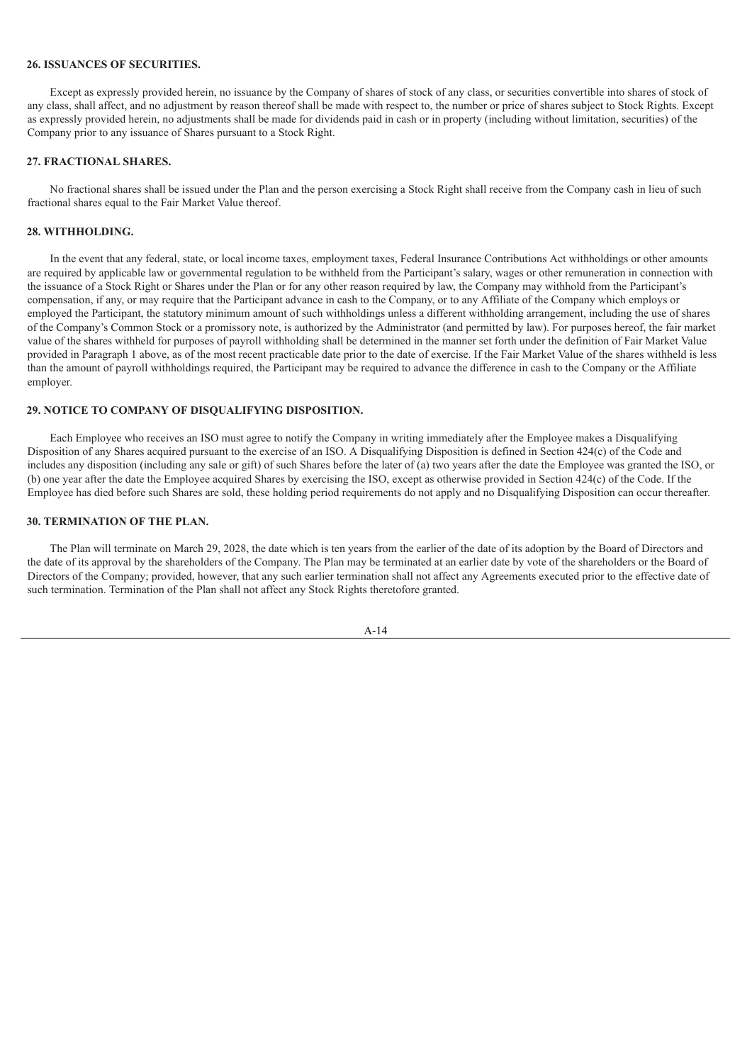#### **26. ISSUANCES OF SECURITIES.**

Except as expressly provided herein, no issuance by the Company of shares of stock of any class, or securities convertible into shares of stock of any class, shall affect, and no adjustment by reason thereof shall be made with respect to, the number or price of shares subject to Stock Rights. Except as expressly provided herein, no adjustments shall be made for dividends paid in cash or in property (including without limitation, securities) of the Company prior to any issuance of Shares pursuant to a Stock Right.

#### **27. FRACTIONAL SHARES.**

No fractional shares shall be issued under the Plan and the person exercising a Stock Right shall receive from the Company cash in lieu of such fractional shares equal to the Fair Market Value thereof.

#### **28. WITHHOLDING.**

In the event that any federal, state, or local income taxes, employment taxes, Federal Insurance Contributions Act withholdings or other amounts are required by applicable law or governmental regulation to be withheld from the Participant's salary, wages or other remuneration in connection with the issuance of a Stock Right or Shares under the Plan or for any other reason required by law, the Company may withhold from the Participant's compensation, if any, or may require that the Participant advance in cash to the Company, or to any Affiliate of the Company which employs or employed the Participant, the statutory minimum amount of such withholdings unless a different withholding arrangement, including the use of shares of the Company's Common Stock or a promissory note, is authorized by the Administrator (and permitted by law). For purposes hereof, the fair market value of the shares withheld for purposes of payroll withholding shall be determined in the manner set forth under the definition of Fair Market Value provided in Paragraph 1 above, as of the most recent practicable date prior to the date of exercise. If the Fair Market Value of the shares withheld is less than the amount of payroll withholdings required, the Participant may be required to advance the difference in cash to the Company or the Affiliate employer.

#### **29. NOTICE TO COMPANY OF DISQUALIFYING DISPOSITION.**

Each Employee who receives an ISO must agree to notify the Company in writing immediately after the Employee makes a Disqualifying Disposition of any Shares acquired pursuant to the exercise of an ISO. A Disqualifying Disposition is defined in Section 424(c) of the Code and includes any disposition (including any sale or gift) of such Shares before the later of (a) two years after the date the Employee was granted the ISO, or (b) one year after the date the Employee acquired Shares by exercising the ISO, except as otherwise provided in Section 424(c) of the Code. If the Employee has died before such Shares are sold, these holding period requirements do not apply and no Disqualifying Disposition can occur thereafter.

#### **30. TERMINATION OF THE PLAN.**

The Plan will terminate on March 29, 2028, the date which is ten years from the earlier of the date of its adoption by the Board of Directors and the date of its approval by the shareholders of the Company. The Plan may be terminated at an earlier date by vote of the shareholders or the Board of Directors of the Company; provided, however, that any such earlier termination shall not affect any Agreements executed prior to the effective date of such termination. Termination of the Plan shall not affect any Stock Rights theretofore granted.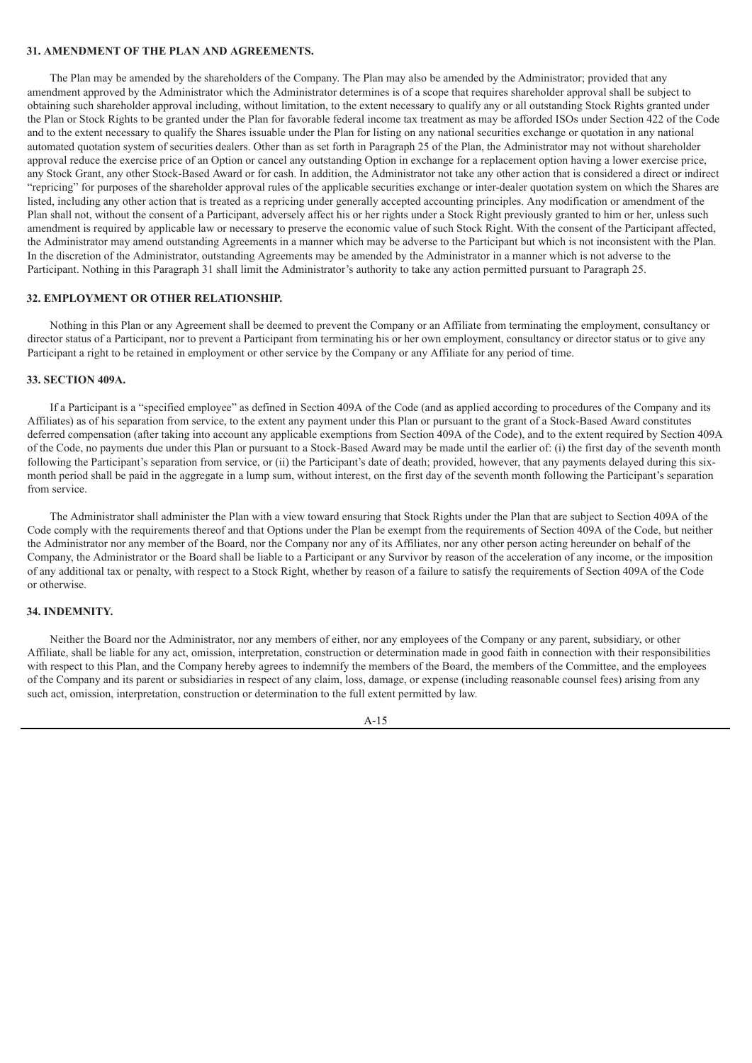### **31. AMENDMENT OF THE PLAN AND AGREEMENTS.**

The Plan may be amended by the shareholders of the Company. The Plan may also be amended by the Administrator; provided that any amendment approved by the Administrator which the Administrator determines is of a scope that requires shareholder approval shall be subject to obtaining such shareholder approval including, without limitation, to the extent necessary to qualify any or all outstanding Stock Rights granted under the Plan or Stock Rights to be granted under the Plan for favorable federal income tax treatment as may be afforded ISOs under Section 422 of the Code and to the extent necessary to qualify the Shares issuable under the Plan for listing on any national securities exchange or quotation in any national automated quotation system of securities dealers. Other than as set forth in Paragraph 25 of the Plan, the Administrator may not without shareholder approval reduce the exercise price of an Option or cancel any outstanding Option in exchange for a replacement option having a lower exercise price, any Stock Grant, any other Stock-Based Award or for cash. In addition, the Administrator not take any other action that is considered a direct or indirect "repricing" for purposes of the shareholder approval rules of the applicable securities exchange or inter-dealer quotation system on which the Shares are listed, including any other action that is treated as a repricing under generally accepted accounting principles. Any modification or amendment of the Plan shall not, without the consent of a Participant, adversely affect his or her rights under a Stock Right previously granted to him or her, unless such amendment is required by applicable law or necessary to preserve the economic value of such Stock Right. With the consent of the Participant affected, the Administrator may amend outstanding Agreements in a manner which may be adverse to the Participant but which is not inconsistent with the Plan. In the discretion of the Administrator, outstanding Agreements may be amended by the Administrator in a manner which is not adverse to the Participant. Nothing in this Paragraph 31 shall limit the Administrator's authority to take any action permitted pursuant to Paragraph 25.

### **32. EMPLOYMENT OR OTHER RELATIONSHIP.**

Nothing in this Plan or any Agreement shall be deemed to prevent the Company or an Affiliate from terminating the employment, consultancy or director status of a Participant, nor to prevent a Participant from terminating his or her own employment, consultancy or director status or to give any Participant a right to be retained in employment or other service by the Company or any Affiliate for any period of time.

### **33. SECTION 409A.**

If a Participant is a "specified employee" as defined in Section 409A of the Code (and as applied according to procedures of the Company and its Affiliates) as of his separation from service, to the extent any payment under this Plan or pursuant to the grant of a Stock-Based Award constitutes deferred compensation (after taking into account any applicable exemptions from Section 409A of the Code), and to the extent required by Section 409A of the Code, no payments due under this Plan or pursuant to a Stock-Based Award may be made until the earlier of: (i) the first day of the seventh month following the Participant's separation from service, or (ii) the Participant's date of death; provided, however, that any payments delayed during this sixmonth period shall be paid in the aggregate in a lump sum, without interest, on the first day of the seventh month following the Participant's separation from service.

The Administrator shall administer the Plan with a view toward ensuring that Stock Rights under the Plan that are subject to Section 409A of the Code comply with the requirements thereof and that Options under the Plan be exempt from the requirements of Section 409A of the Code, but neither the Administrator nor any member of the Board, nor the Company nor any of its Affiliates, nor any other person acting hereunder on behalf of the Company, the Administrator or the Board shall be liable to a Participant or any Survivor by reason of the acceleration of any income, or the imposition of any additional tax or penalty, with respect to a Stock Right, whether by reason of a failure to satisfy the requirements of Section 409A of the Code or otherwise.

### **34. INDEMNITY.**

Neither the Board nor the Administrator, nor any members of either, nor any employees of the Company or any parent, subsidiary, or other Affiliate, shall be liable for any act, omission, interpretation, construction or determination made in good faith in connection with their responsibilities with respect to this Plan, and the Company hereby agrees to indemnify the members of the Board, the members of the Committee, and the employees of the Company and its parent or subsidiaries in respect of any claim, loss, damage, or expense (including reasonable counsel fees) arising from any such act, omission, interpretation, construction or determination to the full extent permitted by law.